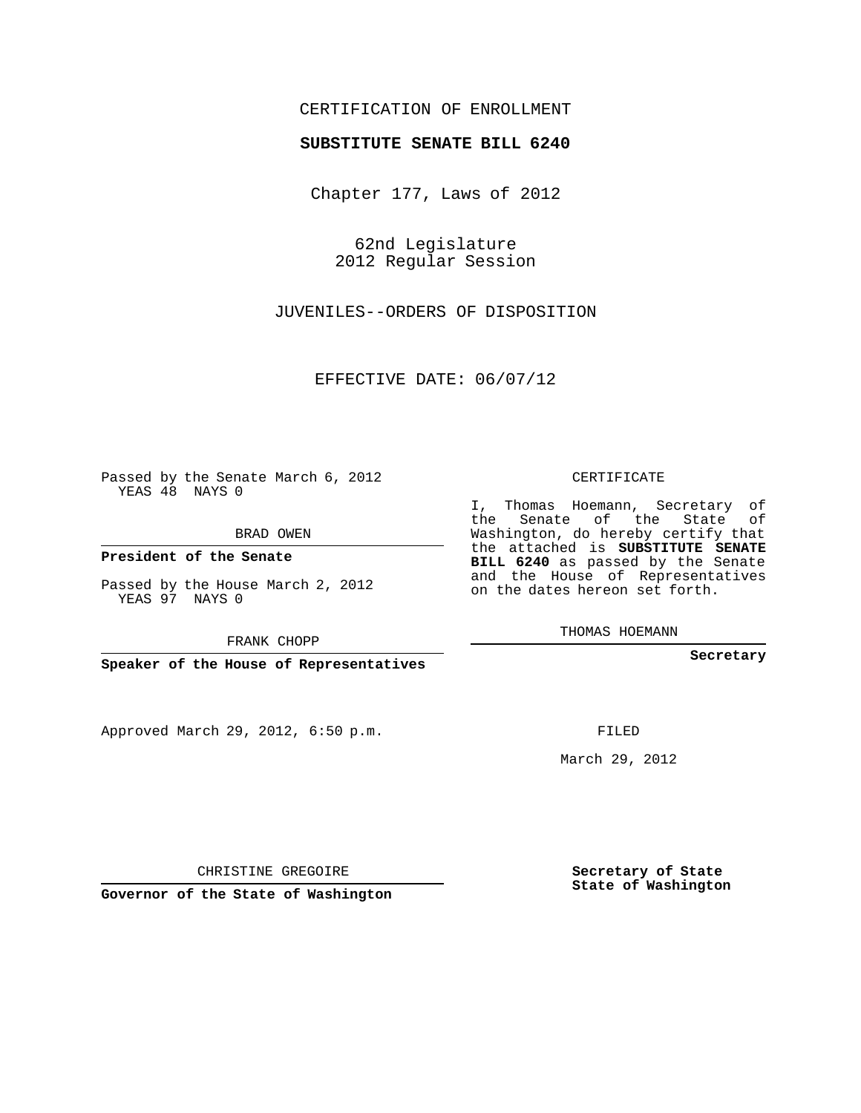## CERTIFICATION OF ENROLLMENT

### **SUBSTITUTE SENATE BILL 6240**

Chapter 177, Laws of 2012

62nd Legislature 2012 Regular Session

JUVENILES--ORDERS OF DISPOSITION

EFFECTIVE DATE: 06/07/12

Passed by the Senate March 6, 2012 YEAS 48 NAYS 0

BRAD OWEN

**President of the Senate**

Passed by the House March 2, 2012 YEAS 97 NAYS 0

FRANK CHOPP

**Speaker of the House of Representatives**

Approved March 29, 2012, 6:50 p.m.

CERTIFICATE

I, Thomas Hoemann, Secretary of the Senate of the State of Washington, do hereby certify that the attached is **SUBSTITUTE SENATE BILL 6240** as passed by the Senate and the House of Representatives on the dates hereon set forth.

THOMAS HOEMANN

**Secretary**

FILED

March 29, 2012

**Secretary of State State of Washington**

CHRISTINE GREGOIRE

**Governor of the State of Washington**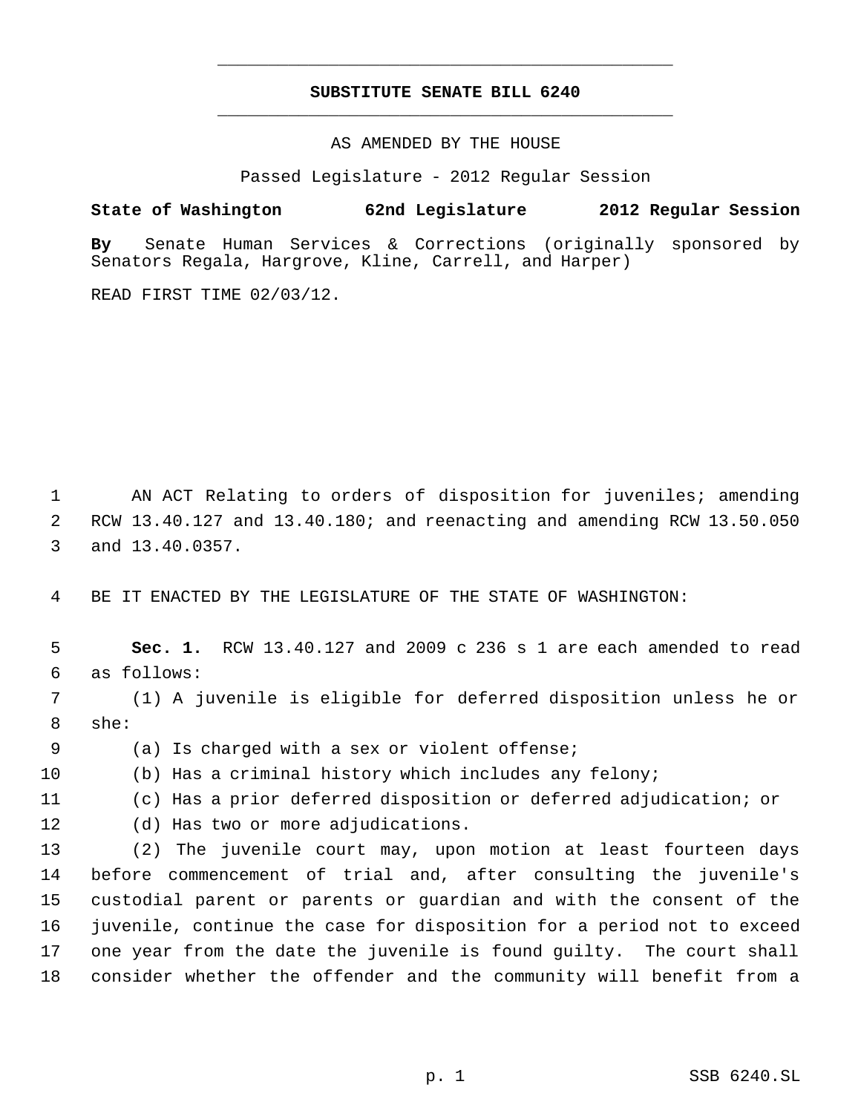## **SUBSTITUTE SENATE BILL 6240** \_\_\_\_\_\_\_\_\_\_\_\_\_\_\_\_\_\_\_\_\_\_\_\_\_\_\_\_\_\_\_\_\_\_\_\_\_\_\_\_\_\_\_\_\_

\_\_\_\_\_\_\_\_\_\_\_\_\_\_\_\_\_\_\_\_\_\_\_\_\_\_\_\_\_\_\_\_\_\_\_\_\_\_\_\_\_\_\_\_\_

AS AMENDED BY THE HOUSE

Passed Legislature - 2012 Regular Session

**State of Washington 62nd Legislature 2012 Regular Session**

**By** Senate Human Services & Corrections (originally sponsored by Senators Regala, Hargrove, Kline, Carrell, and Harper)

READ FIRST TIME 02/03/12.

 AN ACT Relating to orders of disposition for juveniles; amending RCW 13.40.127 and 13.40.180; and reenacting and amending RCW 13.50.050 and 13.40.0357.

BE IT ENACTED BY THE LEGISLATURE OF THE STATE OF WASHINGTON:

 **Sec. 1.** RCW 13.40.127 and 2009 c 236 s 1 are each amended to read as follows:

 (1) A juvenile is eligible for deferred disposition unless he or she:

(a) Is charged with a sex or violent offense;

(b) Has a criminal history which includes any felony;

(c) Has a prior deferred disposition or deferred adjudication; or

(d) Has two or more adjudications.

 (2) The juvenile court may, upon motion at least fourteen days before commencement of trial and, after consulting the juvenile's custodial parent or parents or guardian and with the consent of the juvenile, continue the case for disposition for a period not to exceed one year from the date the juvenile is found guilty. The court shall consider whether the offender and the community will benefit from a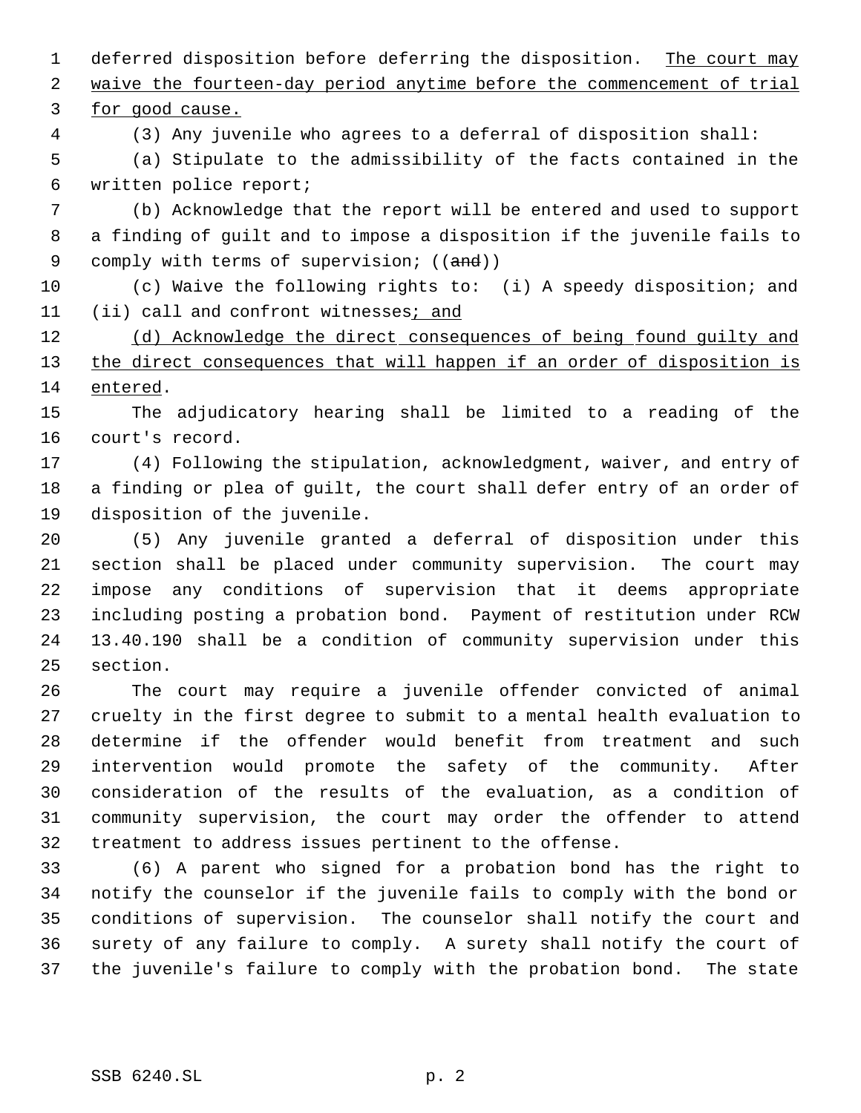1 deferred disposition before deferring the disposition. The court may waive the fourteen-day period anytime before the commencement of trial

for good cause.

(3) Any juvenile who agrees to a deferral of disposition shall:

 (a) Stipulate to the admissibility of the facts contained in the written police report;

 (b) Acknowledge that the report will be entered and used to support a finding of guilt and to impose a disposition if the juvenile fails to 9 comply with terms of supervision; ((and))

 (c) Waive the following rights to: (i) A speedy disposition; and 11 (ii) call and confront witnesses; and

12 (d) Acknowledge the direct consequences of being found guilty and 13 the direct consequences that will happen if an order of disposition is entered.

 The adjudicatory hearing shall be limited to a reading of the court's record.

 (4) Following the stipulation, acknowledgment, waiver, and entry of a finding or plea of guilt, the court shall defer entry of an order of disposition of the juvenile.

 (5) Any juvenile granted a deferral of disposition under this section shall be placed under community supervision. The court may impose any conditions of supervision that it deems appropriate including posting a probation bond. Payment of restitution under RCW 13.40.190 shall be a condition of community supervision under this section.

 The court may require a juvenile offender convicted of animal cruelty in the first degree to submit to a mental health evaluation to determine if the offender would benefit from treatment and such intervention would promote the safety of the community. After consideration of the results of the evaluation, as a condition of community supervision, the court may order the offender to attend treatment to address issues pertinent to the offense.

 (6) A parent who signed for a probation bond has the right to notify the counselor if the juvenile fails to comply with the bond or conditions of supervision. The counselor shall notify the court and surety of any failure to comply. A surety shall notify the court of the juvenile's failure to comply with the probation bond. The state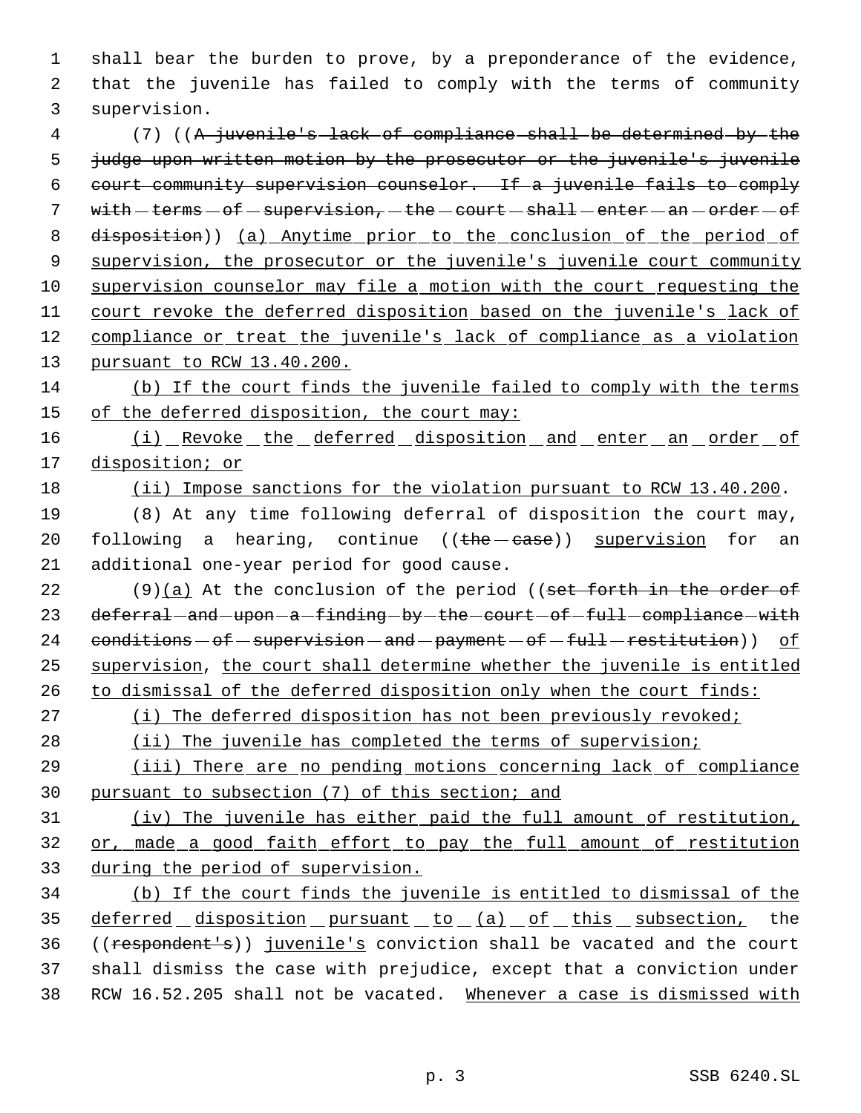shall bear the burden to prove, by a preponderance of the evidence, that the juvenile has failed to comply with the terms of community supervision.

 (7) ((A juvenile's lack of compliance shall be determined by the 5 judge upon written motion by the prosecutor or the juvenile's juvenile court community supervision counselor. If a juvenile fails to comply 7 with  $-$  terms  $-$  of  $-$  supervision,  $-$  the  $-$  court  $-$  shall  $-$  enter  $-$  an  $-$  order  $-$  of disposition)) (a) Anytime prior to the conclusion of the period of supervision, the prosecutor or the juvenile's juvenile court community supervision counselor may file a motion with the court requesting the court revoke the deferred disposition based on the juvenile's lack of 12 compliance or treat the juvenile's lack of compliance as a violation pursuant to RCW 13.40.200.

 (b) If the court finds the juvenile failed to comply with the terms 15 of the deferred disposition, the court may:

16 (i) Revoke the deferred disposition and enter an order of disposition; or

(ii) Impose sanctions for the violation pursuant to RCW 13.40.200.

 (8) At any time following deferral of disposition the court may, 20 following a hearing, continue  $((the - case))$  supervision for an additional one-year period for good cause.

22 (9)(a) At the conclusion of the period ((set forth in the order of 23 deferral-and-upon-a-finding-by-the-court-of-full-compliance-with 24  $conditions - of - supervision - and - payment - of - full-restitution)$ ) of supervision, the court shall determine whether the juvenile is entitled to dismissal of the deferred disposition only when the court finds:

(i) The deferred disposition has not been previously revoked;

28 (ii) The juvenile has completed the terms of supervision;

 (iii) There are no pending motions concerning lack of compliance pursuant to subsection (7) of this section; and

 (iv) The juvenile has either paid the full amount of restitution, or, made a good faith effort to pay the full amount of restitution during the period of supervision.

 (b) If the court finds the juvenile is entitled to dismissal of the 35 deferred disposition pursuant to (a) of this subsection, the ((respondent's)) juvenile's conviction shall be vacated and the court shall dismiss the case with prejudice, except that a conviction under 38 RCW 16.52.205 shall not be vacated. Whenever a case is dismissed with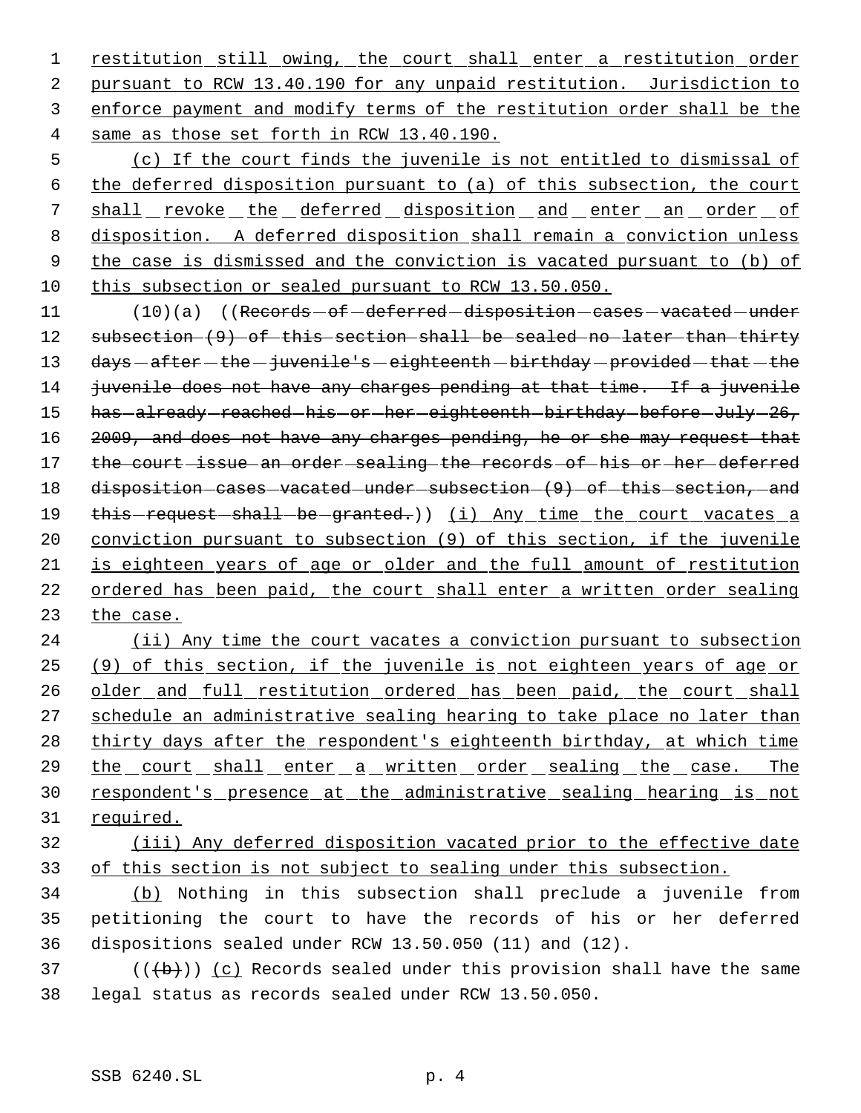restitution still owing, the court shall enter a restitution order pursuant to RCW 13.40.190 for any unpaid restitution. Jurisdiction to enforce payment and modify terms of the restitution order shall be the same as those set forth in RCW 13.40.190.

 (c) If the court finds the juvenile is not entitled to dismissal of the deferred disposition pursuant to (a) of this subsection, the court 7 shall revoke the deferred disposition and enter an order of disposition. A deferred disposition shall remain a conviction unless the case is dismissed and the conviction is vacated pursuant to (b) of this subsection or sealed pursuant to RCW 13.50.050.

11 (10)(a) ((Records - of - deferred - disposition - cases - vacated - under 12 subsection (9) of this section shall be sealed no later than thirty 13 days - after - the - juvenile's - eighteenth - birthday - provided - that - the 14 juvenile does not have any charges pending at that time. If a juvenile 15 has -already -reached -his -or -her -eighteenth -birthday -before -July -26, 16 2009, and does not have any charges pending, he or she may request that 17 the court issue an order sealing the records of his or her deferred 18 disposition-cases-vacated-under-subsection-(9)-of-this-section,-and 19 this-request-shall-be-granted.)) (i) Any time the court vacates a 20 conviction pursuant to subsection (9) of this section, if the juvenile 21 is eighteen years of age or older and the full amount of restitution 22 ordered has been paid, the court shall enter a written order sealing 23 the case.

24 (ii) Any time the court vacates a conviction pursuant to subsection 25 (9) of this section, if the juvenile is not eighteen years of age or 26 older and full restitution ordered has been paid, the court shall 27 schedule an administrative sealing hearing to take place no later than 28 thirty days after the respondent's eighteenth birthday, at which time 29 the court shall enter a written order sealing the case. The 30 respondent's presence at the administrative sealing hearing is not 31 required.

32 (iii) Any deferred disposition vacated prior to the effective date 33 of this section is not subject to sealing under this subsection.

34 (b) Nothing in this subsection shall preclude a juvenile from 35 petitioning the court to have the records of his or her deferred 36 dispositions sealed under RCW 13.50.050 (11) and (12).

37 ( $(\overline{b})$ ) (c) Records sealed under this provision shall have the same 38 legal status as records sealed under RCW 13.50.050.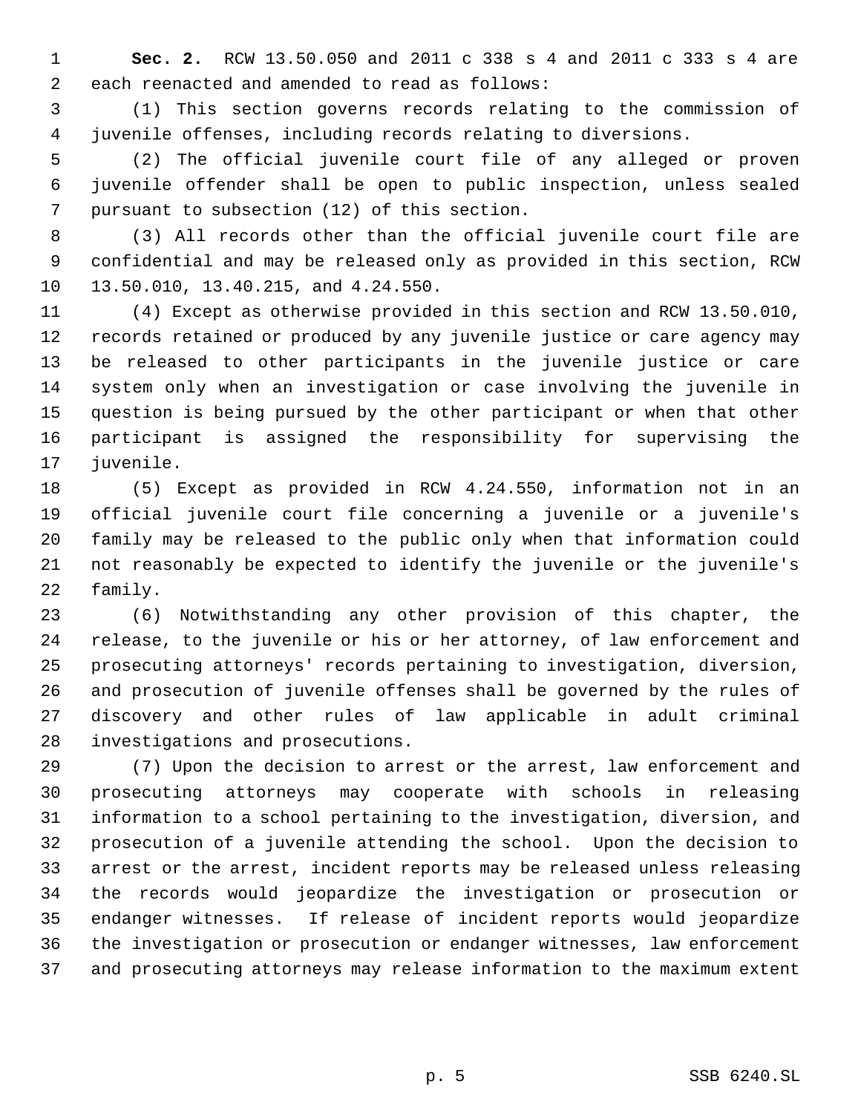**Sec. 2.** RCW 13.50.050 and 2011 c 338 s 4 and 2011 c 333 s 4 are each reenacted and amended to read as follows:

 (1) This section governs records relating to the commission of juvenile offenses, including records relating to diversions.

 (2) The official juvenile court file of any alleged or proven juvenile offender shall be open to public inspection, unless sealed pursuant to subsection (12) of this section.

 (3) All records other than the official juvenile court file are confidential and may be released only as provided in this section, RCW 13.50.010, 13.40.215, and 4.24.550.

 (4) Except as otherwise provided in this section and RCW 13.50.010, records retained or produced by any juvenile justice or care agency may be released to other participants in the juvenile justice or care system only when an investigation or case involving the juvenile in question is being pursued by the other participant or when that other participant is assigned the responsibility for supervising the juvenile.

 (5) Except as provided in RCW 4.24.550, information not in an official juvenile court file concerning a juvenile or a juvenile's family may be released to the public only when that information could not reasonably be expected to identify the juvenile or the juvenile's family.

 (6) Notwithstanding any other provision of this chapter, the release, to the juvenile or his or her attorney, of law enforcement and prosecuting attorneys' records pertaining to investigation, diversion, and prosecution of juvenile offenses shall be governed by the rules of discovery and other rules of law applicable in adult criminal investigations and prosecutions.

 (7) Upon the decision to arrest or the arrest, law enforcement and prosecuting attorneys may cooperate with schools in releasing information to a school pertaining to the investigation, diversion, and prosecution of a juvenile attending the school. Upon the decision to arrest or the arrest, incident reports may be released unless releasing the records would jeopardize the investigation or prosecution or endanger witnesses. If release of incident reports would jeopardize the investigation or prosecution or endanger witnesses, law enforcement and prosecuting attorneys may release information to the maximum extent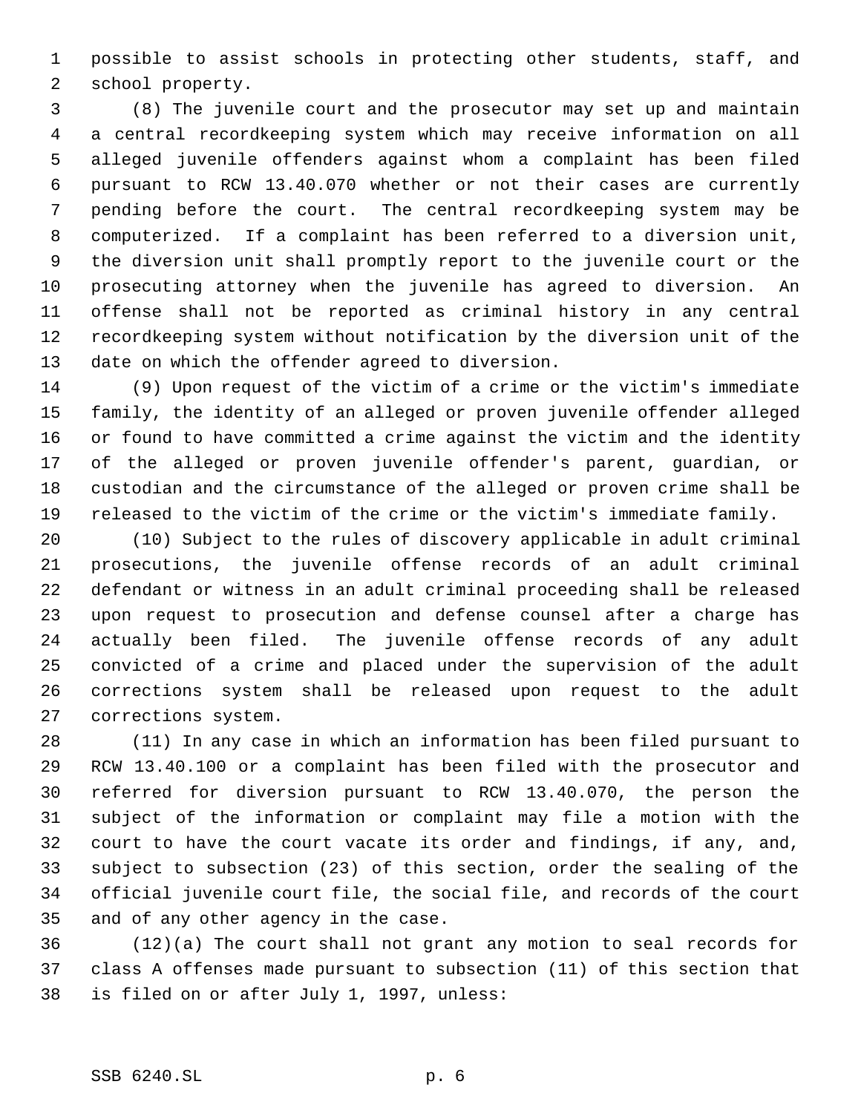possible to assist schools in protecting other students, staff, and school property.

 (8) The juvenile court and the prosecutor may set up and maintain a central recordkeeping system which may receive information on all alleged juvenile offenders against whom a complaint has been filed pursuant to RCW 13.40.070 whether or not their cases are currently pending before the court. The central recordkeeping system may be computerized. If a complaint has been referred to a diversion unit, the diversion unit shall promptly report to the juvenile court or the prosecuting attorney when the juvenile has agreed to diversion. An offense shall not be reported as criminal history in any central recordkeeping system without notification by the diversion unit of the date on which the offender agreed to diversion.

 (9) Upon request of the victim of a crime or the victim's immediate family, the identity of an alleged or proven juvenile offender alleged or found to have committed a crime against the victim and the identity of the alleged or proven juvenile offender's parent, guardian, or custodian and the circumstance of the alleged or proven crime shall be released to the victim of the crime or the victim's immediate family.

 (10) Subject to the rules of discovery applicable in adult criminal prosecutions, the juvenile offense records of an adult criminal defendant or witness in an adult criminal proceeding shall be released upon request to prosecution and defense counsel after a charge has actually been filed. The juvenile offense records of any adult convicted of a crime and placed under the supervision of the adult corrections system shall be released upon request to the adult corrections system.

 (11) In any case in which an information has been filed pursuant to RCW 13.40.100 or a complaint has been filed with the prosecutor and referred for diversion pursuant to RCW 13.40.070, the person the subject of the information or complaint may file a motion with the court to have the court vacate its order and findings, if any, and, subject to subsection (23) of this section, order the sealing of the official juvenile court file, the social file, and records of the court and of any other agency in the case.

 (12)(a) The court shall not grant any motion to seal records for class A offenses made pursuant to subsection (11) of this section that is filed on or after July 1, 1997, unless:

## SSB 6240.SL p. 6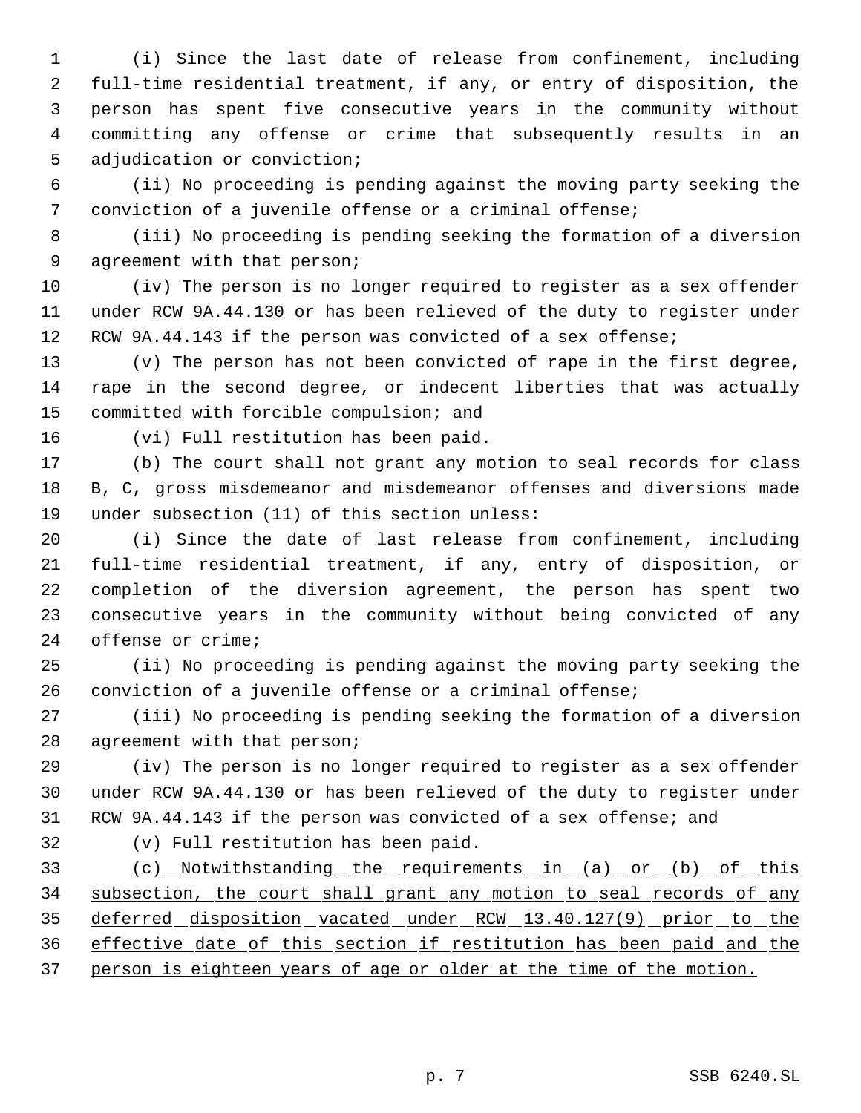(i) Since the last date of release from confinement, including full-time residential treatment, if any, or entry of disposition, the person has spent five consecutive years in the community without committing any offense or crime that subsequently results in an adjudication or conviction;

 (ii) No proceeding is pending against the moving party seeking the conviction of a juvenile offense or a criminal offense;

 (iii) No proceeding is pending seeking the formation of a diversion 9 agreement with that person;

 (iv) The person is no longer required to register as a sex offender under RCW 9A.44.130 or has been relieved of the duty to register under RCW 9A.44.143 if the person was convicted of a sex offense;

 (v) The person has not been convicted of rape in the first degree, rape in the second degree, or indecent liberties that was actually committed with forcible compulsion; and

(vi) Full restitution has been paid.

 (b) The court shall not grant any motion to seal records for class B, C, gross misdemeanor and misdemeanor offenses and diversions made under subsection (11) of this section unless:

 (i) Since the date of last release from confinement, including full-time residential treatment, if any, entry of disposition, or completion of the diversion agreement, the person has spent two consecutive years in the community without being convicted of any offense or crime;

 (ii) No proceeding is pending against the moving party seeking the conviction of a juvenile offense or a criminal offense;

 (iii) No proceeding is pending seeking the formation of a diversion agreement with that person;

 (iv) The person is no longer required to register as a sex offender under RCW 9A.44.130 or has been relieved of the duty to register under RCW 9A.44.143 if the person was convicted of a sex offense; and

(v) Full restitution has been paid.

 (c) Notwithstanding the requirements in (a) or (b) of this subsection, the court shall grant any motion to seal records of any 35 deferred disposition vacated under RCW 13.40.127(9) prior to the effective date of this section if restitution has been paid and the person is eighteen years of age or older at the time of the motion.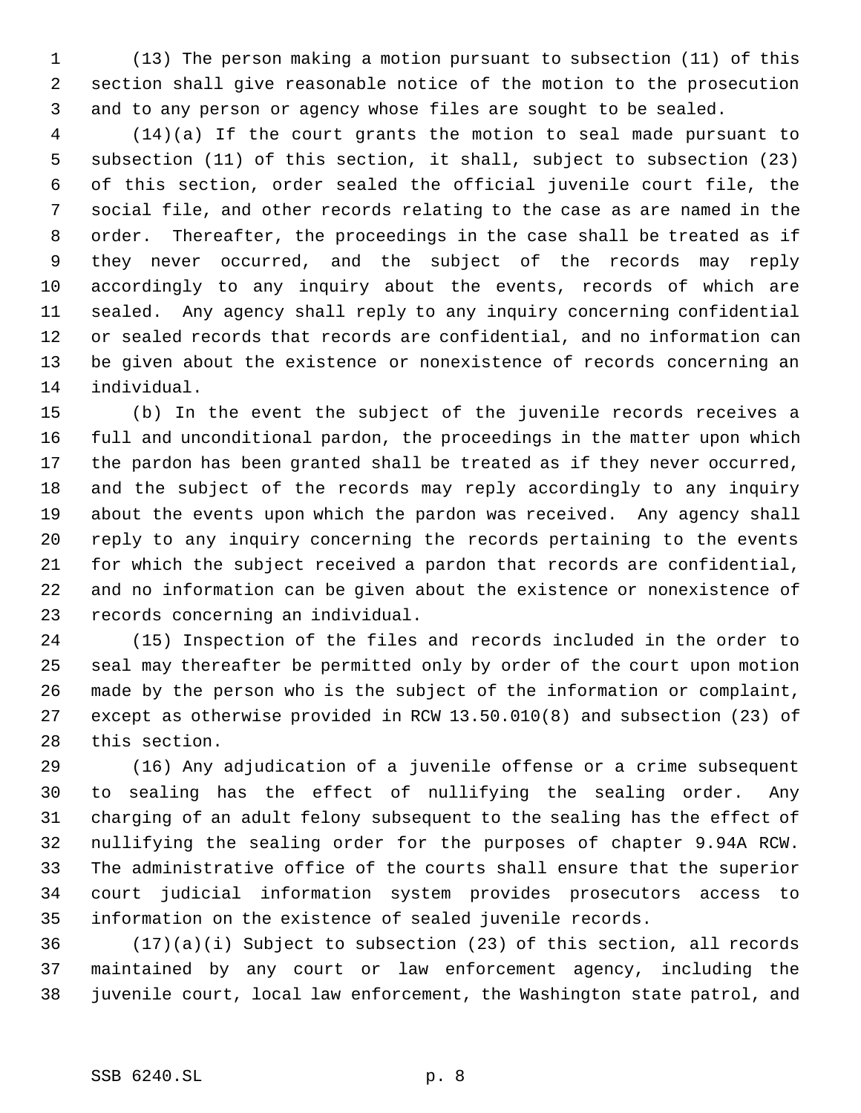(13) The person making a motion pursuant to subsection (11) of this section shall give reasonable notice of the motion to the prosecution and to any person or agency whose files are sought to be sealed.

 (14)(a) If the court grants the motion to seal made pursuant to subsection (11) of this section, it shall, subject to subsection (23) of this section, order sealed the official juvenile court file, the social file, and other records relating to the case as are named in the order. Thereafter, the proceedings in the case shall be treated as if they never occurred, and the subject of the records may reply accordingly to any inquiry about the events, records of which are sealed. Any agency shall reply to any inquiry concerning confidential or sealed records that records are confidential, and no information can be given about the existence or nonexistence of records concerning an individual.

 (b) In the event the subject of the juvenile records receives a full and unconditional pardon, the proceedings in the matter upon which the pardon has been granted shall be treated as if they never occurred, and the subject of the records may reply accordingly to any inquiry about the events upon which the pardon was received. Any agency shall reply to any inquiry concerning the records pertaining to the events for which the subject received a pardon that records are confidential, and no information can be given about the existence or nonexistence of records concerning an individual.

 (15) Inspection of the files and records included in the order to seal may thereafter be permitted only by order of the court upon motion made by the person who is the subject of the information or complaint, except as otherwise provided in RCW 13.50.010(8) and subsection (23) of this section.

 (16) Any adjudication of a juvenile offense or a crime subsequent to sealing has the effect of nullifying the sealing order. Any charging of an adult felony subsequent to the sealing has the effect of nullifying the sealing order for the purposes of chapter 9.94A RCW. The administrative office of the courts shall ensure that the superior court judicial information system provides prosecutors access to information on the existence of sealed juvenile records.

 (17)(a)(i) Subject to subsection (23) of this section, all records maintained by any court or law enforcement agency, including the juvenile court, local law enforcement, the Washington state patrol, and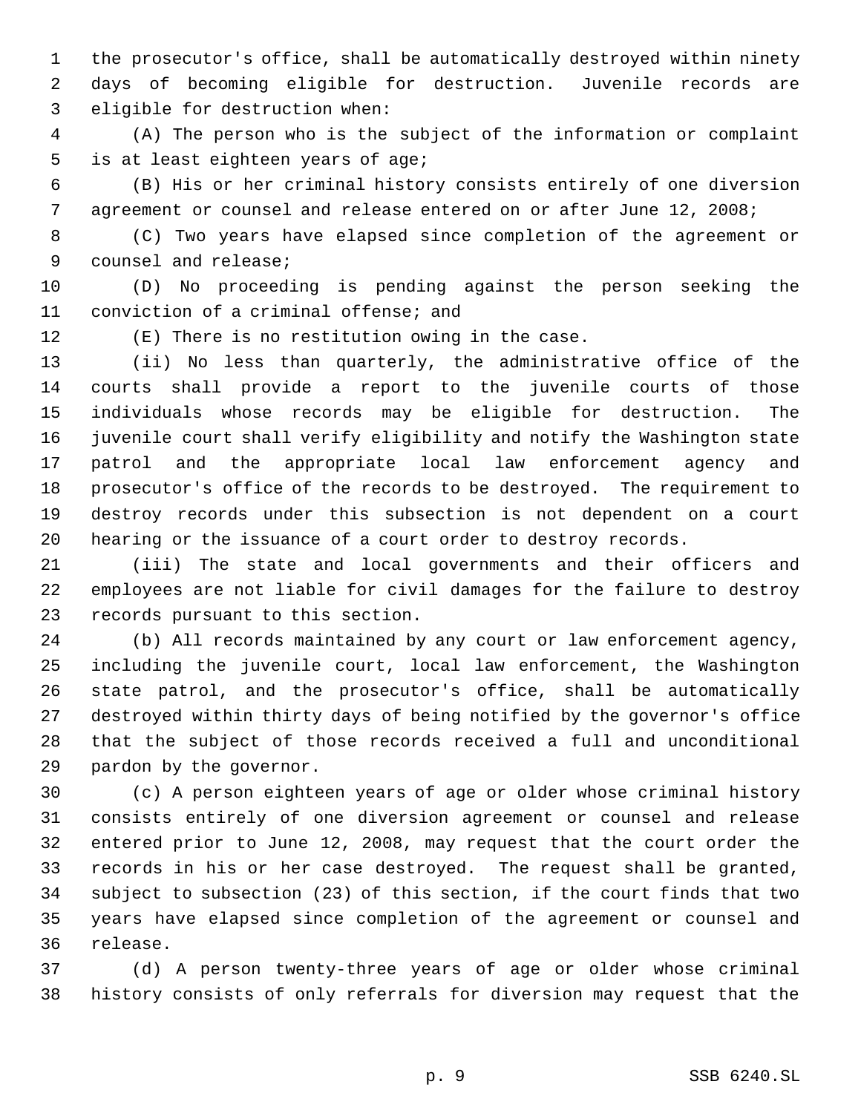the prosecutor's office, shall be automatically destroyed within ninety days of becoming eligible for destruction. Juvenile records are eligible for destruction when:

 (A) The person who is the subject of the information or complaint is at least eighteen years of age;

 (B) His or her criminal history consists entirely of one diversion agreement or counsel and release entered on or after June 12, 2008;

 (C) Two years have elapsed since completion of the agreement or counsel and release;

 (D) No proceeding is pending against the person seeking the conviction of a criminal offense; and

(E) There is no restitution owing in the case.

 (ii) No less than quarterly, the administrative office of the courts shall provide a report to the juvenile courts of those individuals whose records may be eligible for destruction. The juvenile court shall verify eligibility and notify the Washington state patrol and the appropriate local law enforcement agency and prosecutor's office of the records to be destroyed. The requirement to destroy records under this subsection is not dependent on a court hearing or the issuance of a court order to destroy records.

 (iii) The state and local governments and their officers and employees are not liable for civil damages for the failure to destroy records pursuant to this section.

 (b) All records maintained by any court or law enforcement agency, including the juvenile court, local law enforcement, the Washington state patrol, and the prosecutor's office, shall be automatically destroyed within thirty days of being notified by the governor's office that the subject of those records received a full and unconditional pardon by the governor.

 (c) A person eighteen years of age or older whose criminal history consists entirely of one diversion agreement or counsel and release entered prior to June 12, 2008, may request that the court order the records in his or her case destroyed. The request shall be granted, subject to subsection (23) of this section, if the court finds that two years have elapsed since completion of the agreement or counsel and release.

 (d) A person twenty-three years of age or older whose criminal history consists of only referrals for diversion may request that the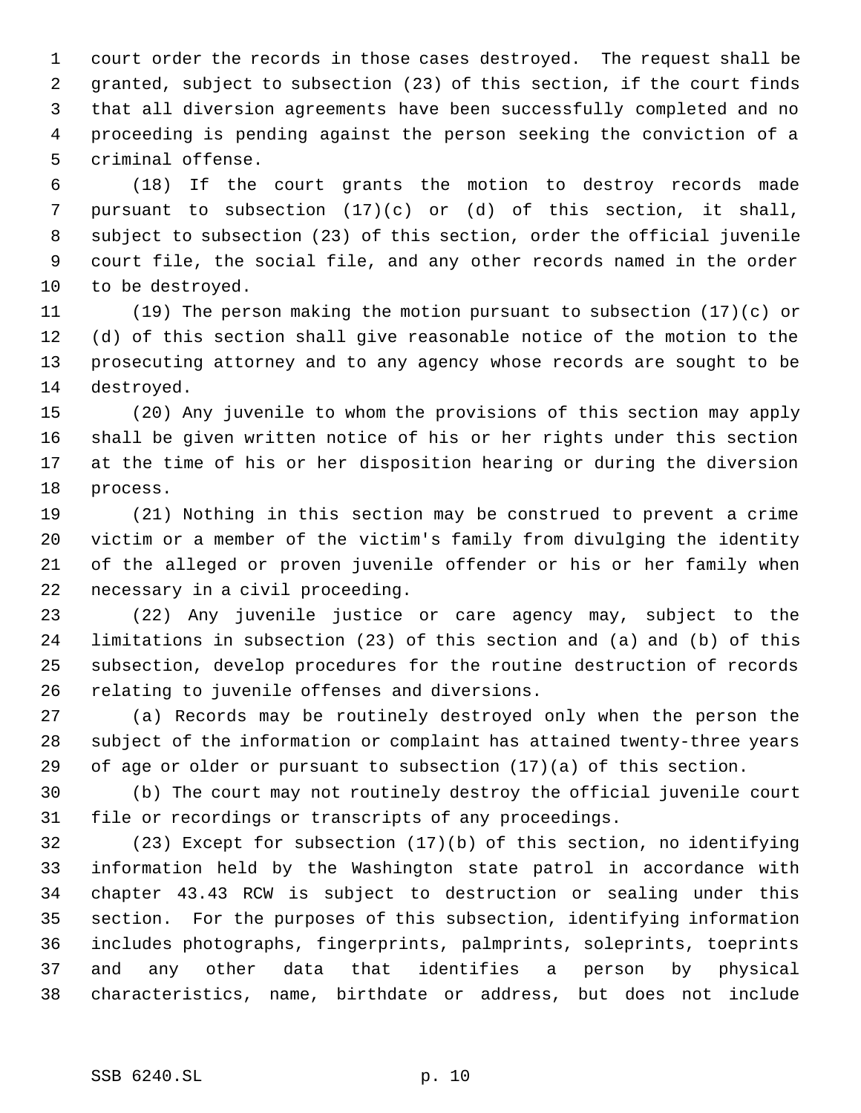court order the records in those cases destroyed. The request shall be granted, subject to subsection (23) of this section, if the court finds that all diversion agreements have been successfully completed and no proceeding is pending against the person seeking the conviction of a criminal offense.

 (18) If the court grants the motion to destroy records made pursuant to subsection (17)(c) or (d) of this section, it shall, subject to subsection (23) of this section, order the official juvenile court file, the social file, and any other records named in the order to be destroyed.

 (19) The person making the motion pursuant to subsection (17)(c) or (d) of this section shall give reasonable notice of the motion to the prosecuting attorney and to any agency whose records are sought to be destroyed.

 (20) Any juvenile to whom the provisions of this section may apply shall be given written notice of his or her rights under this section at the time of his or her disposition hearing or during the diversion process.

 (21) Nothing in this section may be construed to prevent a crime victim or a member of the victim's family from divulging the identity of the alleged or proven juvenile offender or his or her family when necessary in a civil proceeding.

 (22) Any juvenile justice or care agency may, subject to the limitations in subsection (23) of this section and (a) and (b) of this subsection, develop procedures for the routine destruction of records relating to juvenile offenses and diversions.

 (a) Records may be routinely destroyed only when the person the subject of the information or complaint has attained twenty-three years of age or older or pursuant to subsection (17)(a) of this section.

 (b) The court may not routinely destroy the official juvenile court file or recordings or transcripts of any proceedings.

 (23) Except for subsection (17)(b) of this section, no identifying information held by the Washington state patrol in accordance with chapter 43.43 RCW is subject to destruction or sealing under this section. For the purposes of this subsection, identifying information includes photographs, fingerprints, palmprints, soleprints, toeprints and any other data that identifies a person by physical characteristics, name, birthdate or address, but does not include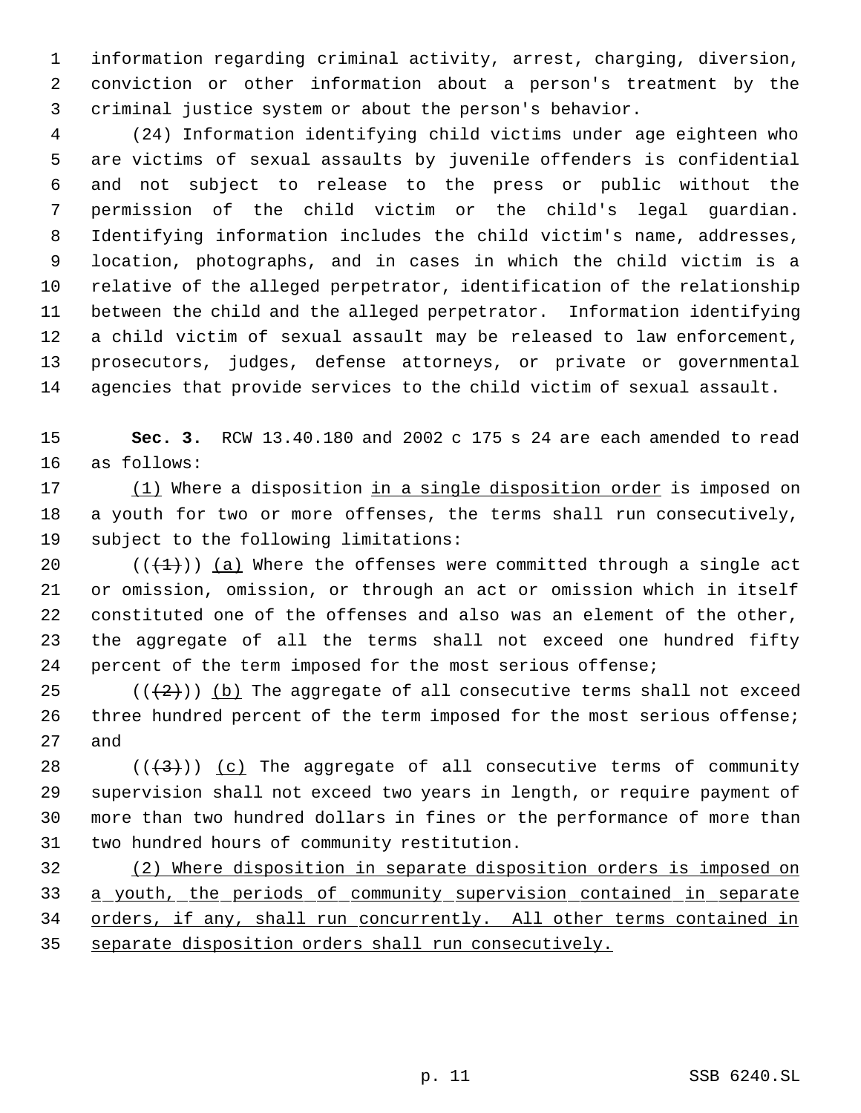information regarding criminal activity, arrest, charging, diversion, conviction or other information about a person's treatment by the criminal justice system or about the person's behavior.

 (24) Information identifying child victims under age eighteen who are victims of sexual assaults by juvenile offenders is confidential and not subject to release to the press or public without the permission of the child victim or the child's legal guardian. Identifying information includes the child victim's name, addresses, location, photographs, and in cases in which the child victim is a relative of the alleged perpetrator, identification of the relationship between the child and the alleged perpetrator. Information identifying a child victim of sexual assault may be released to law enforcement, prosecutors, judges, defense attorneys, or private or governmental agencies that provide services to the child victim of sexual assault.

 **Sec. 3.** RCW 13.40.180 and 2002 c 175 s 24 are each amended to read as follows:

17 (1) Where a disposition in a single disposition order is imposed on a youth for two or more offenses, the terms shall run consecutively, subject to the following limitations:

 $((+1))$  (a) Where the offenses were committed through a single act or omission, omission, or through an act or omission which in itself constituted one of the offenses and also was an element of the other, the aggregate of all the terms shall not exceed one hundred fifty percent of the term imposed for the most serious offense;

25  $((+2))$  (b) The aggregate of all consecutive terms shall not exceed three hundred percent of the term imposed for the most serious offense; and

 $((+3))$  (c) The aggregate of all consecutive terms of community supervision shall not exceed two years in length, or require payment of more than two hundred dollars in fines or the performance of more than two hundred hours of community restitution.

 (2) Where disposition in separate disposition orders is imposed on a youth, the periods of community supervision contained in separate 34 orders, if any, shall run concurrently. All other terms contained in separate disposition orders shall run consecutively.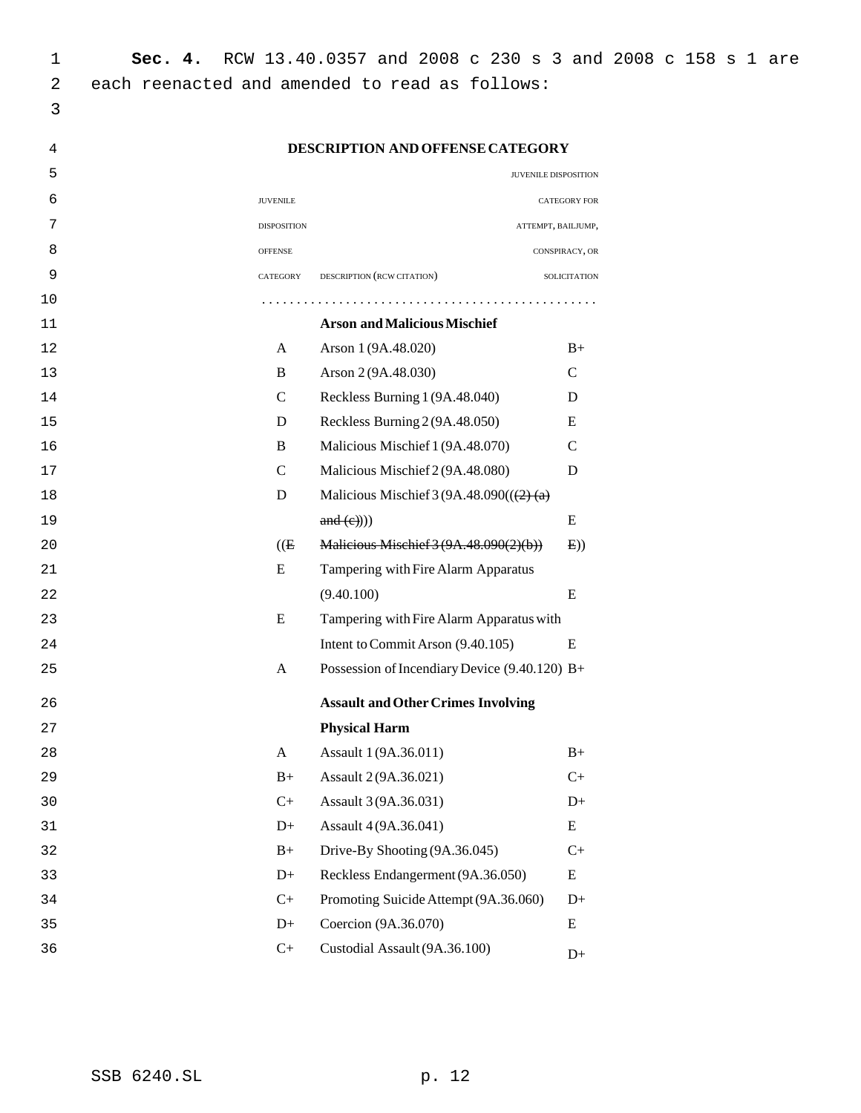| 1  | Sec. 4.         | RCW 13.40.0357 and 2008 c 230 s 3 and 2008 c 158 s 1 are |                |  |  |  |
|----|-----------------|----------------------------------------------------------|----------------|--|--|--|
| 2  |                 | each reenacted and amended to read as follows:           |                |  |  |  |
| 3  |                 |                                                          |                |  |  |  |
| 4  |                 | DESCRIPTION AND OFFENSE CATEGORY                         |                |  |  |  |
| 5  |                 | JUVENILE DISPOSITION                                     |                |  |  |  |
| 6  | <b>JUVENILE</b> |                                                          | CATEGORY FOR   |  |  |  |
| 7  | DISPOSITION     | ATTEMPT, BAILJUMP,                                       |                |  |  |  |
| 8  | <b>OFFENSE</b>  |                                                          | CONSPIRACY, OR |  |  |  |
| 9  | CATEGORY        | DESCRIPTION (RCW CITATION)                               | SOLICITATION   |  |  |  |
| 10 |                 |                                                          |                |  |  |  |
| 11 |                 | <b>Arson and Malicious Mischief</b>                      |                |  |  |  |
| 12 | A               | Arson 1 (9A.48.020)                                      | $B+$           |  |  |  |
| 13 | $\, {\bf B}$    | Arson 2 (9A.48.030)                                      | $\mathcal{C}$  |  |  |  |
| 14 | $\mathbf C$     | Reckless Burning 1 (9A.48.040)                           | D              |  |  |  |
| 15 | D               | Reckless Burning 2 (9A.48.050)                           | E              |  |  |  |
| 16 | $\, {\bf B}$    | Malicious Mischief 1 (9A.48.070)                         | $\mathsf{C}$   |  |  |  |
| 17 | $\mathsf{C}$    | Malicious Mischief 2 (9A.48.080)                         | $\mathbf D$    |  |  |  |
| 18 | D               | Malicious Mischief $3(9A.48.090)((\frac{2}{2})$ (a)      |                |  |  |  |
| 19 |                 | and (e)))                                                | ${\bf E}$      |  |  |  |
| 20 | (E)             | Malicious Mischief 3 (9A.48.090(2)(b))                   | E)             |  |  |  |
| 21 | ${\bf E}$       | Tampering with Fire Alarm Apparatus                      |                |  |  |  |
| 22 |                 | (9.40.100)                                               | ${\bf E}$      |  |  |  |
| 23 | ${\bf E}$       | Tampering with Fire Alarm Apparatus with                 |                |  |  |  |
| 24 |                 | Intent to Commit Arson (9.40.105)                        | E              |  |  |  |
| 25 | A               | Possession of Incendiary Device $(9.40.120)$ B+          |                |  |  |  |
| 26 |                 | <b>Assault and Other Crimes Involving</b>                |                |  |  |  |
| 27 |                 | <b>Physical Harm</b>                                     |                |  |  |  |
| 28 | $\mathbf{A}$    | Assault 1 (9A.36.011)                                    | $\rm B+$       |  |  |  |
| 29 | $B+$            | Assault 2 (9A.36.021)                                    | $C+$           |  |  |  |
| 30 | $C+$            | Assault 3 (9A.36.031)                                    | $D+$           |  |  |  |
| 31 | $D+$            | Assault 4 (9A.36.041)                                    | ${\bf E}$      |  |  |  |
| 32 | $B+$            | Drive-By Shooting (9A.36.045)                            | $C+$           |  |  |  |
| 33 | $D+$            | Reckless Endangerment (9A.36.050)                        | ${\bf E}$      |  |  |  |
| 34 | $C+$            | Promoting Suicide Attempt (9A.36.060)                    | $D+$           |  |  |  |
| 35 | $D+$            | Coercion (9A.36.070)                                     | E              |  |  |  |
| 36 | $C+$            | Custodial Assault (9A.36.100)                            | $D+$           |  |  |  |
|    |                 |                                                          |                |  |  |  |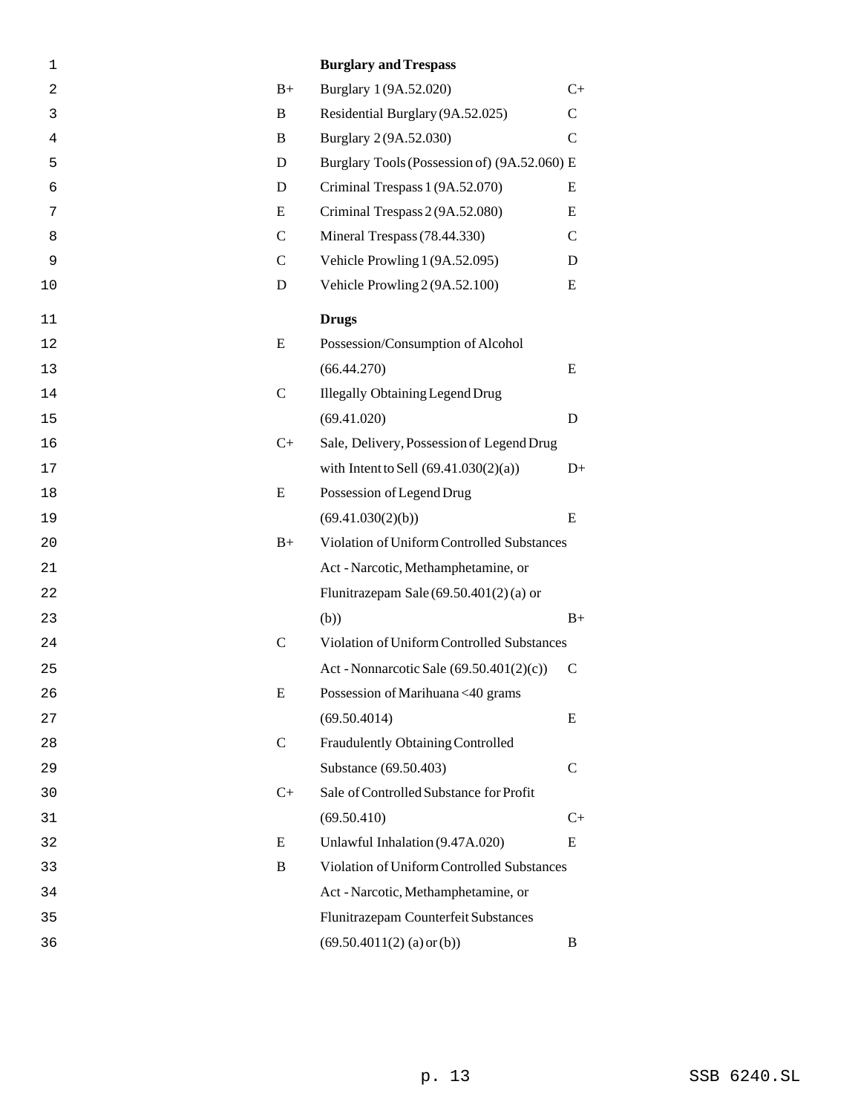| 1  |               | <b>Burglary and Trespass</b>                 |               |
|----|---------------|----------------------------------------------|---------------|
| 2  | $B+$          | Burglary 1 (9A.52.020)                       | $C+$          |
| 3  | B             | Residential Burglary (9A.52.025)             | $\mathsf{C}$  |
| 4  | B             | Burglary 2 (9A.52.030)                       | $\mathbf C$   |
| 5  | D             | Burglary Tools (Possession of) (9A.52.060) E |               |
| 6  | D             | Criminal Trespass 1 (9A.52.070)              | E             |
| 7  | E             | Criminal Trespass 2 (9A.52.080)              | E             |
| 8  | $\mathsf{C}$  | Mineral Trespass (78.44.330)                 | $\mathcal{C}$ |
| 9  | $\mathcal{C}$ | Vehicle Prowling 1 (9A.52.095)               | D             |
| 10 | D             | Vehicle Prowling 2 (9A.52.100)               | E             |
| 11 |               | <b>Drugs</b>                                 |               |
| 12 | E             | Possession/Consumption of Alcohol            |               |
| 13 |               | (66.44.270)                                  | E             |
| 14 | $\mathbf C$   | <b>Illegally Obtaining Legend Drug</b>       |               |
| 15 |               | (69.41.020)                                  | D             |
| 16 | $C+$          | Sale, Delivery, Possession of Legend Drug    |               |
| 17 |               | with Intent to Sell $(69.41.030(2)(a))$      | $D+$          |
| 18 | E             | Possession of Legend Drug                    |               |
| 19 |               | (69.41.030(2)(b))                            | E             |
| 20 | $B+$          | Violation of Uniform Controlled Substances   |               |
| 21 |               | Act - Narcotic, Methamphetamine, or          |               |
| 22 |               | Flunitrazepam Sale $(69.50.401(2)(a)$ or     |               |
| 23 |               | (b))                                         | $B+$          |
| 24 | $\mathsf{C}$  | Violation of Uniform Controlled Substances   |               |
| 25 |               | Act - Nonnarcotic Sale $(69.50.401(2)(c))$   | C             |
| 26 | ${\bf E}$     | Possession of Marihuana <40 grams            |               |
| 27 |               | (69.50.4014)                                 | E             |
| 28 | $\mathbf C$   | Fraudulently Obtaining Controlled            |               |
| 29 |               | Substance (69.50.403)                        | C             |
| 30 | $C_{+}$       | Sale of Controlled Substance for Profit      |               |
| 31 |               | (69.50.410)                                  | $C_{+}$       |
| 32 | E             | Unlawful Inhalation (9.47A.020)              | E             |
| 33 | B             | Violation of Uniform Controlled Substances   |               |
| 34 |               | Act - Narcotic, Methamphetamine, or          |               |
| 35 |               | Flunitrazepam Counterfeit Substances         |               |
| 36 |               | $(69.50.4011(2)$ (a) or (b))                 | B             |
|    |               |                                              |               |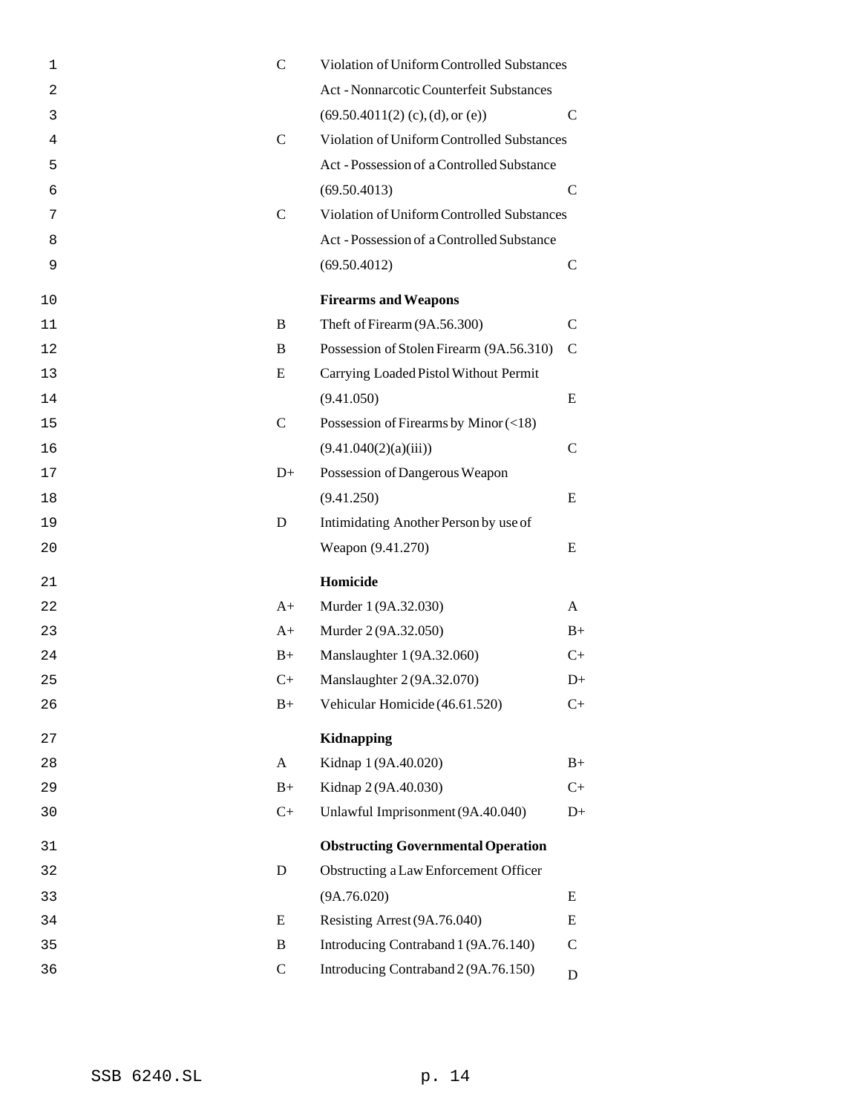| 1              | $\mathcal{C}$ | Violation of Uniform Controlled Substances |               |
|----------------|---------------|--------------------------------------------|---------------|
| $\overline{c}$ |               | Act - Nonnarcotic Counterfeit Substances   |               |
| 3              |               | (69.50.4011(2) (c), (d), or (e))           | $\mathcal{C}$ |
| 4              | $\mathbf C$   | Violation of Uniform Controlled Substances |               |
| 5              |               | Act - Possession of a Controlled Substance |               |
| 6              |               | (69.50.4013)                               | $\mathcal{C}$ |
| 7              | $\mathcal{C}$ | Violation of Uniform Controlled Substances |               |
| 8              |               | Act - Possession of a Controlled Substance |               |
| 9              |               | (69.50.4012)                               | $\mathsf{C}$  |
| 10             |               | <b>Firearms and Weapons</b>                |               |
| 11             | B             | Theft of Firearm (9A.56.300)               | $\mathcal{C}$ |
| 12             | B             | Possession of Stolen Firearm (9A.56.310)   | $\mathcal{C}$ |
| 13             | E             | Carrying Loaded Pistol Without Permit      |               |
| 14             |               | (9.41.050)                                 | E             |
| 15             | $\mathcal{C}$ | Possession of Firearms by Minor $(<18)$    |               |
| 16             |               | (9.41.040(2)(a)(iii))                      | $\mathcal{C}$ |
| 17             | $D+$          | Possession of Dangerous Weapon             |               |
| 18             |               | (9.41.250)                                 | E             |
| 19             | D             | Intimidating Another Person by use of      |               |
| 20             |               | Weapon (9.41.270)                          | E             |
| 21             |               | Homicide                                   |               |
| 22             | $A+$          | Murder 1 (9A.32.030)                       | A             |
| 23             | $A+$          | Murder 2 (9A.32.050)                       | $B+$          |
| 24             | $B+$          | Manslaughter 1 (9A.32.060)                 | $C+$          |
| 25             | $C+$          | Manslaughter 2 (9A.32.070)                 | $D+$          |
| 26             | $B+$          | Vehicular Homicide (46.61.520)             | $C_{+}$       |
| 27             |               | <b>Kidnapping</b>                          |               |
| 28             | A             | Kidnap 1 (9A.40.020)                       | $B+$          |
| 29             | $B+$          | Kidnap 2 (9A.40.030)                       | $C+$          |
| 30             | $C+$          | Unlawful Imprisonment (9A.40.040)          | $D+$          |
| 31             |               | <b>Obstructing Governmental Operation</b>  |               |
| 32             | D             | Obstructing a Law Enforcement Officer      |               |
| 33             |               | (9A.76.020)                                | Ε             |
| 34             | E             | Resisting Arrest (9A.76.040)               | E             |
| 35             | B             | Introducing Contraband 1 (9A.76.140)       | C             |
| 36             | $\mathbf C$   | Introducing Contraband 2 (9A.76.150)       | D             |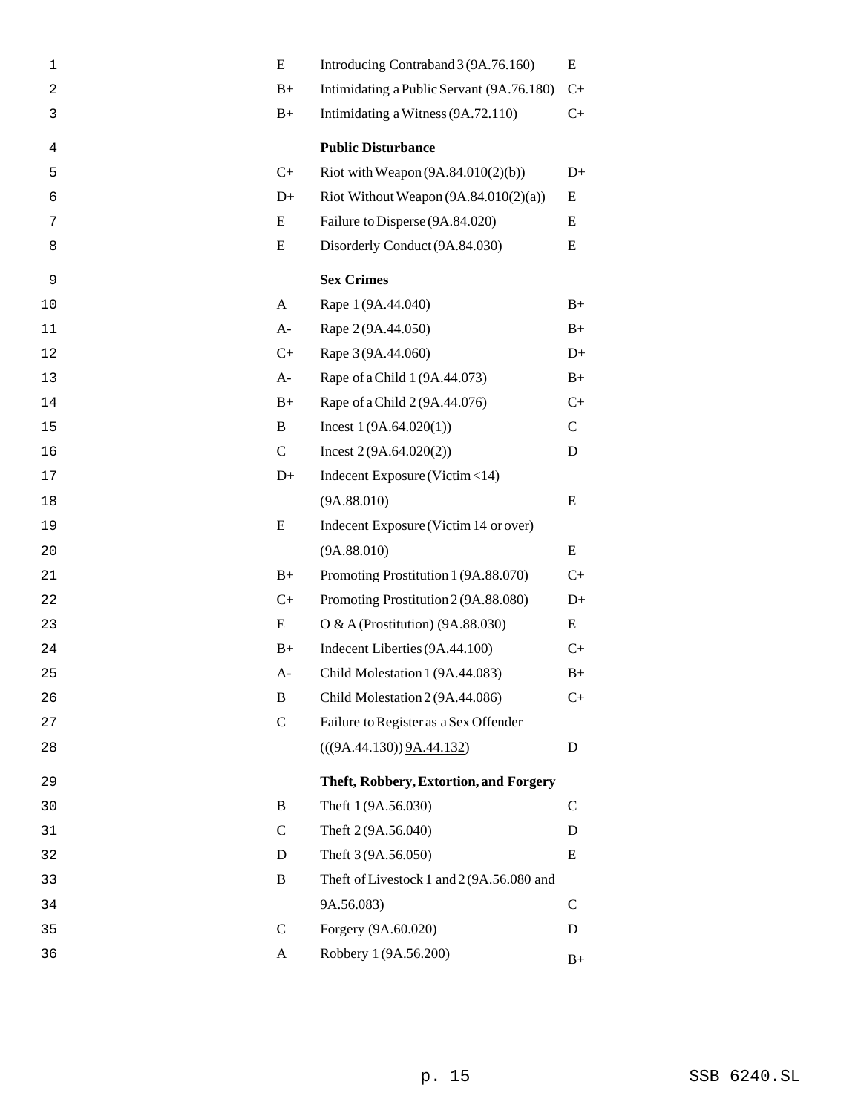| 1              | E            | Introducing Contraband 3 (9A.76.160)      | E             |
|----------------|--------------|-------------------------------------------|---------------|
| $\overline{c}$ | $B+$         | Intimidating a Public Servant (9A.76.180) | $C+$          |
| 3              | $B+$         | Intimidating a Witness (9A.72.110)        | $C_{+}$       |
| 4              |              | <b>Public Disturbance</b>                 |               |
| 5              | $C+$         | Riot with Weapon $(9A.84.010(2)(b))$      | $D+$          |
| 6              | $D+$         | Riot Without Weapon $(9A.84.010(2)(a))$   | Ε             |
| 7              | E            | Failure to Disperse (9A.84.020)           | E             |
| 8              | E            | Disorderly Conduct (9A.84.030)            | E             |
| 9              |              | <b>Sex Crimes</b>                         |               |
| 10             | A            | Rape 1 (9A.44.040)                        | $B+$          |
| 11             | $A-$         | Rape 2 (9A.44.050)                        | $B+$          |
| 12             | $C+$         | Rape 3 (9A.44.060)                        | $D+$          |
| 13             | $A-$         | Rape of a Child 1 (9A.44.073)             | $B+$          |
| 14             | $B+$         | Rape of a Child 2 (9A.44.076)             | $C_{+}$       |
| 15             | B            | Incest $1(9A.64.020(1))$                  | $\mathcal{C}$ |
| 16             | $\mathbf C$  | Incest $2(9A.64.020(2))$                  | D             |
| 17             | $D+$         | Indecent Exposure (Victim <14)            |               |
| 18             |              | (9A.88.010)                               | E             |
| 19             | E            | Indecent Exposure (Victim 14 or over)     |               |
| 20             |              | (9A.88.010)                               | E             |
| 21             | $B+$         | Promoting Prostitution 1 (9A.88.070)      | $C_{+}$       |
| 22             | $C+$         | Promoting Prostitution 2 (9A.88.080)      | $D+$          |
| 23             | E            | O & A (Prostitution) $(9A.88.030)$        | E             |
| 24             | $B+$         | Indecent Liberties (9A.44.100)            | $C_{+}$       |
| 25             | $A-$         | Child Molestation 1 (9A.44.083)           | $B+$          |
| 26             | B            | Child Molestation 2 (9A.44.086)           | $C_{+}$       |
| 27             | $\mathbf C$  | Failure to Register as a Sex Offender     |               |
| 28             |              | (((9A.44.130)) 9A.44.132)                 | D             |
| 29             |              | Theft, Robbery, Extortion, and Forgery    |               |
| 30             | B            | Theft 1 (9A.56.030)                       | $\mathsf{C}$  |
| 31             | $\mathbf C$  | Theft 2 (9A.56.040)                       | D             |
| 32             | D            | Theft 3 (9A.56.050)                       | E             |
| 33             | B            | Theft of Livestock 1 and 2 (9A.56.080 and |               |
| 34             |              | 9A.56.083)                                | C             |
| 35             | $\mathsf{C}$ | Forgery (9A.60.020)                       | D             |
| 36             | A            | Robbery 1 (9A.56.200)                     | $B+$          |
|                |              |                                           |               |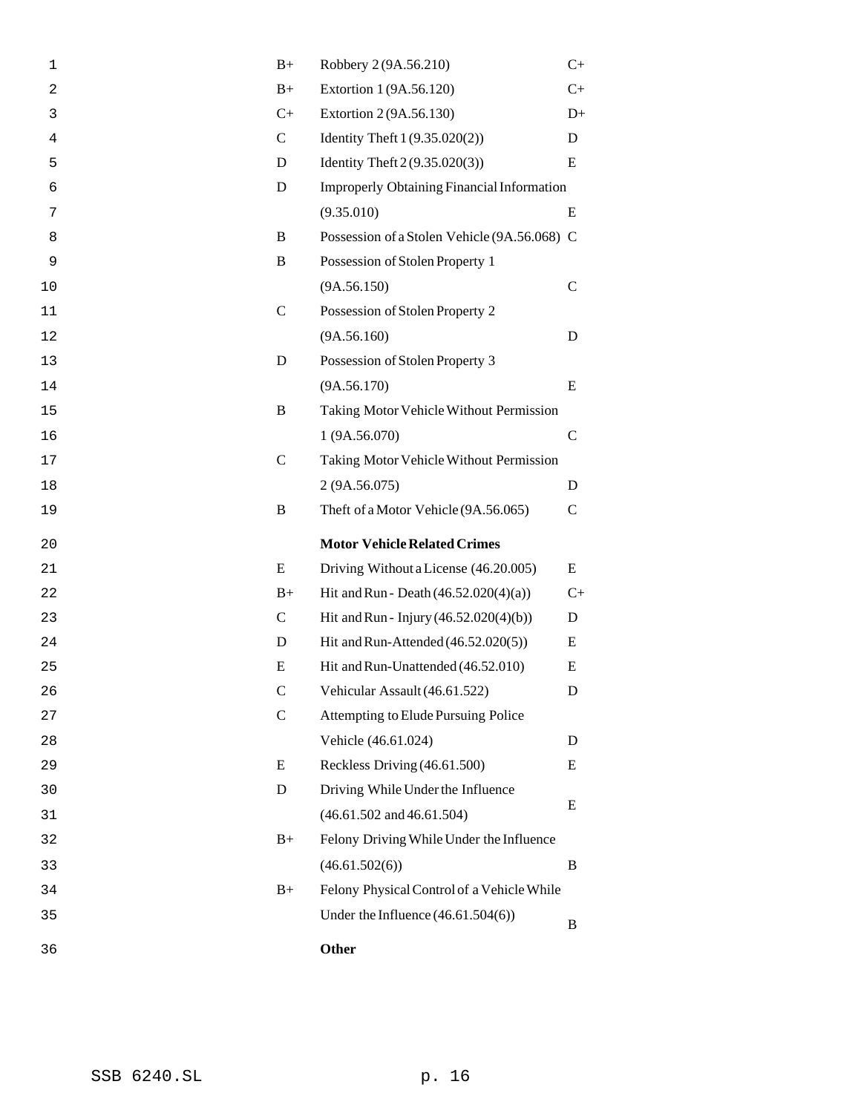| 1  | $B+$         | Robbery 2 (9A.56.210)                             | $C+$          |
|----|--------------|---------------------------------------------------|---------------|
| 2  | $B+$         | Extortion 1 (9A.56.120)                           | $C_{+}$       |
| 3  | $C+$         | Extortion 2 (9A.56.130)                           | $D+$          |
| 4  | $\mathbf C$  | Identity Theft 1 (9.35.020(2))                    | D             |
| 5  | D            | Identity Theft $2(9.35.020(3))$                   | E             |
| 6  | D            | <b>Improperly Obtaining Financial Information</b> |               |
| 7  |              | (9.35.010)                                        | E             |
| 8  | B            | Possession of a Stolen Vehicle (9A.56.068) C      |               |
| 9  | B            | Possession of Stolen Property 1                   |               |
| 10 |              | (9A.56.150)                                       | $\mathcal{C}$ |
| 11 | $\mathbf C$  | Possession of Stolen Property 2                   |               |
| 12 |              | (9A.56.160)                                       | D             |
| 13 | D            | Possession of Stolen Property 3                   |               |
| 14 |              | (9A.56.170)                                       | E             |
| 15 | B            | Taking Motor Vehicle Without Permission           |               |
| 16 |              | 1 (9A.56.070)                                     | C             |
| 17 | $\mathsf{C}$ | Taking Motor Vehicle Without Permission           |               |
| 18 |              | 2 (9A.56.075)                                     | D             |
| 19 | B            | Theft of a Motor Vehicle (9A.56.065)              | $\mathcal{C}$ |
| 20 |              | <b>Motor Vehicle Related Crimes</b>               |               |
| 21 | E            | Driving Without a License (46.20.005)             | E             |
| 22 | $B+$         | Hit and Run - Death $(46.52.020(4)(a))$           | $C+$          |
| 23 | $\mathbf C$  | Hit and Run - Injury (46.52.020(4)(b))            | D             |
| 24 | D            | Hit and Run-Attended (46.52.020(5))               | Ε             |
| 25 | E            | Hit and Run-Unattended (46.52.010)                | E             |
| 26 | $\mathbf C$  | Vehicular Assault (46.61.522)                     | D             |
| 27 | $\mathbf C$  | Attempting to Elude Pursuing Police               |               |
| 28 |              | Vehicle (46.61.024)                               | D             |
| 29 | E            | Reckless Driving (46.61.500)                      | E             |
| 30 | D            | Driving While Under the Influence                 |               |
| 31 |              | $(46.61.502$ and $46.61.504)$                     | E             |
| 32 | $B+$         | Felony Driving While Under the Influence          |               |
| 33 |              | (46.61.502(6))                                    | B             |
| 34 | $B+$         | Felony Physical Control of a Vehicle While        |               |
| 35 |              | Under the Influence $(46.61.504(6))$              | B             |
| 36 |              | Other                                             |               |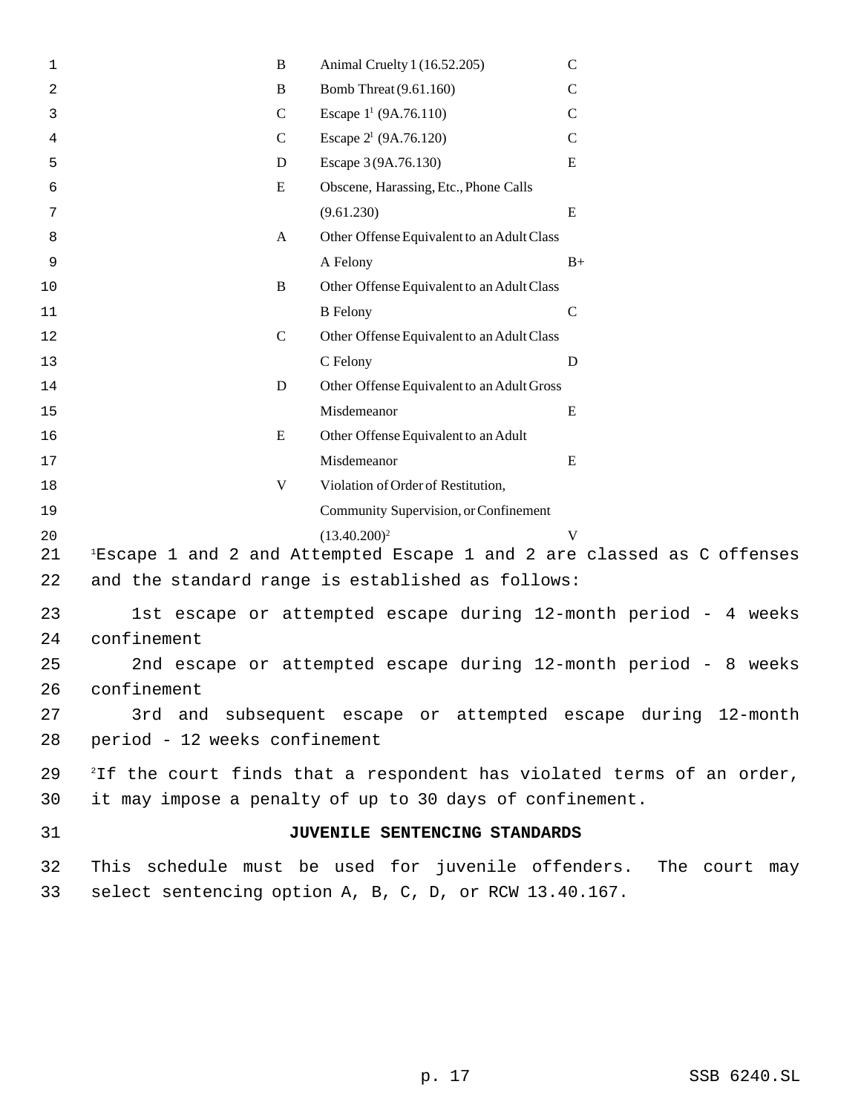| 1  | $\, {\bf B}$                  | Animal Cruelty 1 (16.52.205)                                                       | $\mathsf{C}$                                                                      |
|----|-------------------------------|------------------------------------------------------------------------------------|-----------------------------------------------------------------------------------|
| 2  | $\, {\bf B}$                  | Bomb Threat (9.61.160)                                                             | $\mathcal{C}$                                                                     |
| 3  | $\mathbf C$                   | Escape $1^1$ (9A.76.110)                                                           | $\mathsf{C}$                                                                      |
| 4  | $\mathbf C$                   | Escape $2^1$ (9A.76.120)                                                           | $\mathsf{C}$                                                                      |
| 5  | D                             | Escape 3 (9A.76.130)                                                               | E                                                                                 |
| 6  | E                             | Obscene, Harassing, Etc., Phone Calls                                              |                                                                                   |
| 7  |                               | (9.61.230)                                                                         | ${\bf E}$                                                                         |
| 8  | A                             | Other Offense Equivalent to an Adult Class                                         |                                                                                   |
| 9  |                               | A Felony                                                                           | $B+$                                                                              |
| 10 | $\, {\bf B}$                  | Other Offense Equivalent to an Adult Class                                         |                                                                                   |
| 11 |                               | <b>B</b> Felony                                                                    | $\mathsf{C}$                                                                      |
| 12 | $\mathcal{C}$                 | Other Offense Equivalent to an Adult Class                                         |                                                                                   |
| 13 |                               | C Felony                                                                           | D                                                                                 |
| 14 | D                             | Other Offense Equivalent to an Adult Gross                                         |                                                                                   |
| 15 |                               | Misdemeanor                                                                        | E                                                                                 |
| 16 | E                             | Other Offense Equivalent to an Adult                                               |                                                                                   |
| 17 |                               | Misdemeanor                                                                        | E                                                                                 |
| 18 | V                             | Violation of Order of Restitution,                                                 |                                                                                   |
| 19 |                               | Community Supervision, or Confinement                                              |                                                                                   |
| 20 |                               | $(13.40.200)^2$                                                                    | V                                                                                 |
| 21 |                               | <sup>1</sup> Escape 1 and 2 and Attempted Escape 1 and 2 are classed as C offenses |                                                                                   |
| 22 |                               | and the standard range is established as follows:                                  |                                                                                   |
| 23 |                               | 1st escape or attempted escape during 12-month period - 4 weeks                    |                                                                                   |
| 24 | confinement                   |                                                                                    |                                                                                   |
| 25 |                               | 2nd escape or attempted escape during 12-month period - 8 weeks                    |                                                                                   |
| 26 | confinement                   |                                                                                    |                                                                                   |
| 27 |                               |                                                                                    | 3rd and subsequent escape or attempted escape during 12-month                     |
| 28 | period - 12 weeks confinement |                                                                                    |                                                                                   |
|    |                               |                                                                                    |                                                                                   |
| 29 |                               |                                                                                    | <sup>2</sup> If the court finds that a respondent has violated terms of an order, |
| 30 |                               | it may impose a penalty of up to 30 days of confinement.                           |                                                                                   |
| 31 |                               | JUVENILE SENTENCING STANDARDS                                                      |                                                                                   |
| 32 |                               |                                                                                    | This schedule must be used for juvenile offenders. The court may                  |
| 33 |                               | select sentencing option A, B, C, D, or RCW 13.40.167.                             |                                                                                   |
|    |                               |                                                                                    |                                                                                   |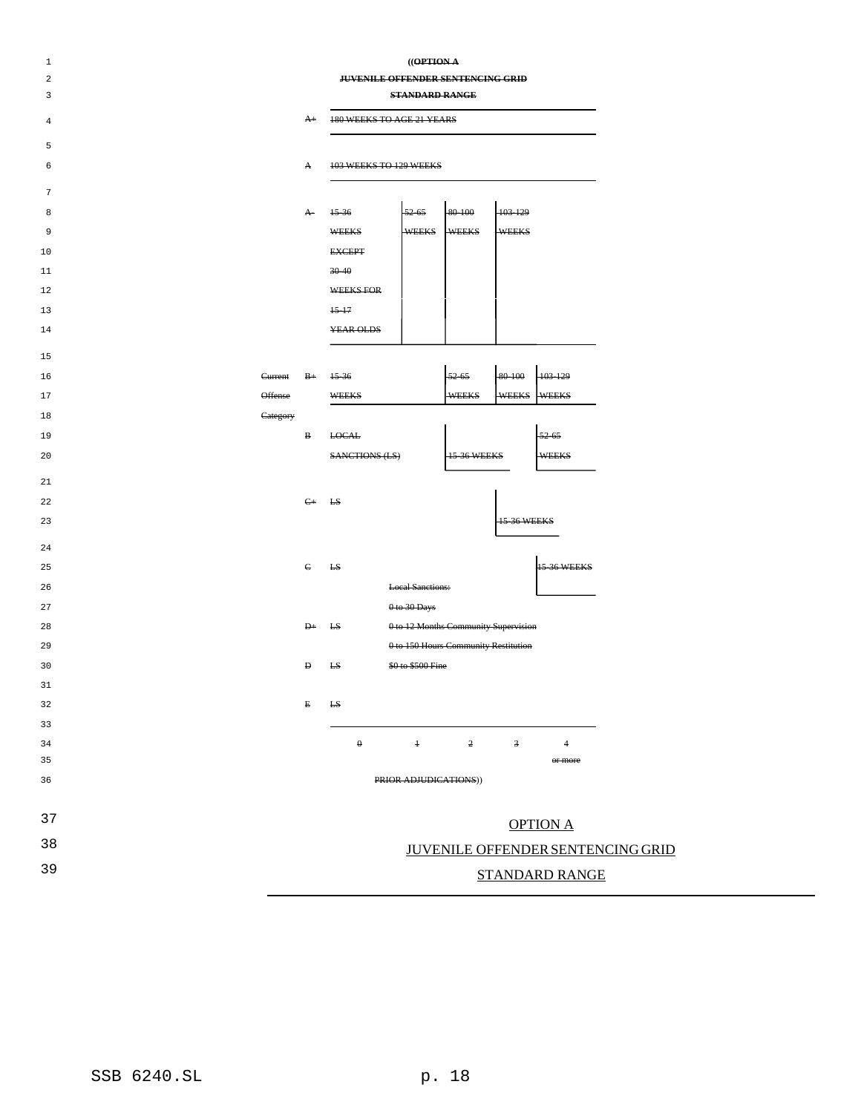| $\mathbf 1$<br>2 | $((\theta$ PTIONA<br><b>JUVENILE OFFENDER SENTENCING GRID</b> |              |                                  |                                      |                    |                         |                                          |  |
|------------------|---------------------------------------------------------------|--------------|----------------------------------|--------------------------------------|--------------------|-------------------------|------------------------------------------|--|
| 3                | <b>STANDARD RANGE</b>                                         |              |                                  |                                      |                    |                         |                                          |  |
| 4                |                                                               | $A+$         | <b>180 WEEKS TO AGE 21 YEARS</b> |                                      |                    |                         |                                          |  |
| 5                |                                                               |              |                                  |                                      |                    |                         |                                          |  |
| 6                |                                                               | A            | 103 WEEKS TO 129 WEEKS           |                                      |                    |                         |                                          |  |
| 7                |                                                               |              |                                  |                                      |                    |                         |                                          |  |
| 8                |                                                               | $\mathbf{A}$ | 15-36                            | $52 - 65$                            | 80-100             | 103-129                 |                                          |  |
| 9                |                                                               |              | <b>WEEKS</b>                     | <b>WEEKS</b>                         | <b>WEEKS</b>       | <b>WEEKS</b>            |                                          |  |
| 10               |                                                               |              | <b>EXCEPT</b>                    |                                      |                    |                         |                                          |  |
| 11               |                                                               |              | $30 - 40$                        |                                      |                    |                         |                                          |  |
| 12               |                                                               |              | <b>WEEKS FOR</b>                 |                                      |                    |                         |                                          |  |
| 13               |                                                               |              | $15 - 17$                        |                                      |                    |                         |                                          |  |
| 14               |                                                               |              | <b>YEAR OLDS</b>                 |                                      |                    |                         |                                          |  |
| 15               |                                                               |              |                                  |                                      |                    |                         |                                          |  |
| 16               | Current                                                       | $B+$         | $15 - 36$                        |                                      | $-52-65$           | 80-100                  | 103-129                                  |  |
| 17               | Offense                                                       |              | <b>WEEKS</b>                     |                                      | <b>WEEKS</b>       | <b>WEEKS</b>            | <b>WEEKS</b>                             |  |
| 18               | Category                                                      |              |                                  |                                      |                    |                         |                                          |  |
| 19               |                                                               | в            | <b>LOCAL</b>                     |                                      |                    |                         | $-52-65$                                 |  |
| 20               |                                                               |              | <b>SANCTIONS (LS)</b>            |                                      | <b>15-36 WEEKS</b> |                         | <b>WEEKS</b>                             |  |
| 21               |                                                               |              |                                  |                                      |                    |                         |                                          |  |
| 22               |                                                               | $\epsilon$   | <b>LS</b>                        |                                      |                    |                         |                                          |  |
| 23               |                                                               |              |                                  |                                      |                    | <b>15-36 WEEKS</b>      |                                          |  |
| 24               |                                                               |              |                                  |                                      |                    |                         |                                          |  |
| 25               |                                                               | $\in$        | <b>LS</b>                        |                                      |                    |                         | <b>15-36 WEEKS</b>                       |  |
| 26               |                                                               |              |                                  | <b>Local Sanctions:</b>              |                    |                         |                                          |  |
| 27               |                                                               |              |                                  | $0$ to 30 Days                       |                    |                         |                                          |  |
| 28               |                                                               | $_{\rm H}$   | £S                               | 0 to 12 Months Community Supervision |                    |                         |                                          |  |
| 29               |                                                               |              |                                  | 0 to 150 Hours Community Restitution |                    |                         |                                          |  |
| 30               |                                                               | Ð            | E <sub>S</sub>                   | \$0 to \$500 Fine                    |                    |                         |                                          |  |
| 31               |                                                               |              |                                  |                                      |                    |                         |                                          |  |
| 32               |                                                               | E            | <b>LS</b>                        |                                      |                    |                         |                                          |  |
| 33               |                                                               |              |                                  |                                      |                    |                         |                                          |  |
| 34               |                                                               |              | $\boldsymbol{\theta}$            | $\ddagger$                           | $\overline{2}$     | $\overline{\mathbf{3}}$ | $\overline{4}$                           |  |
| 35               |                                                               |              |                                  |                                      |                    |                         | or more                                  |  |
| 36               |                                                               |              |                                  | PRIOR ADJUDICATIONS))                |                    |                         |                                          |  |
| 37               |                                                               |              |                                  |                                      |                    |                         | <b>OPTION A</b>                          |  |
| 38               |                                                               |              |                                  |                                      |                    |                         | <b>JUVENILE OFFENDER SENTENCING GRID</b> |  |
| 39               |                                                               |              |                                  |                                      |                    |                         | <b>STANDARD RANGE</b>                    |  |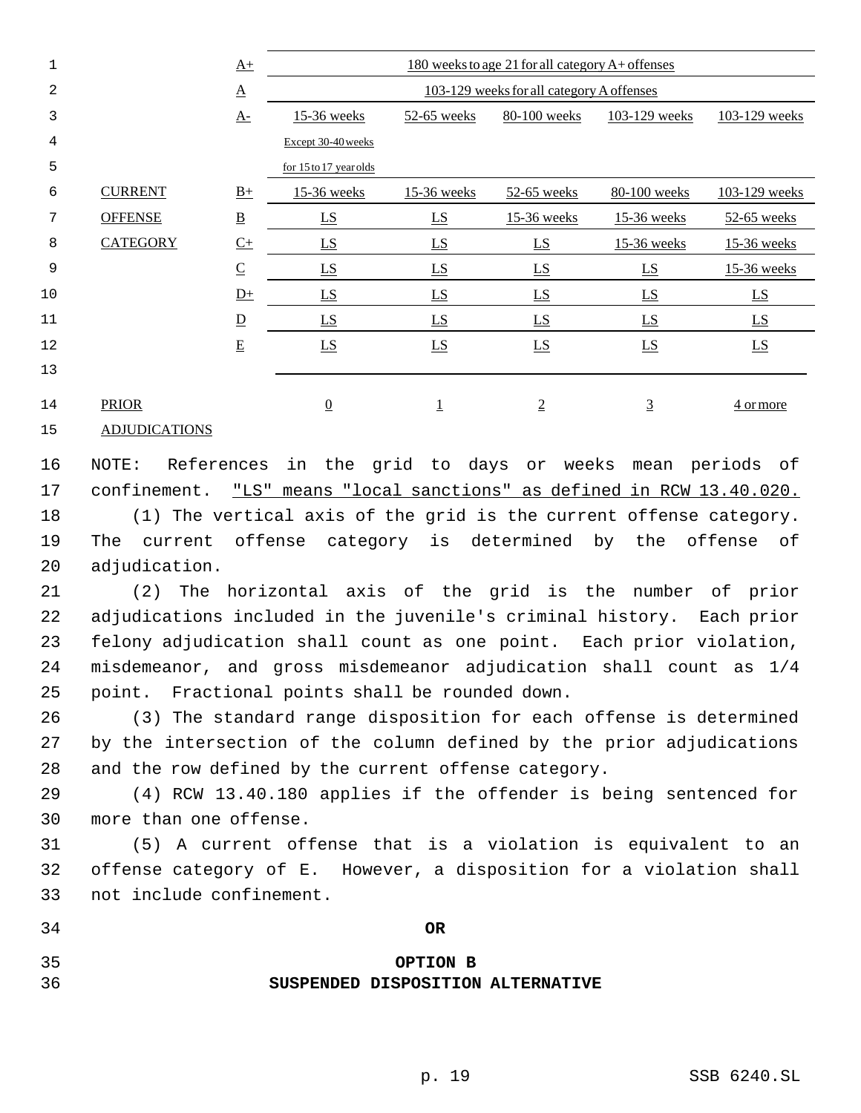| 1  |                      | $\underline{A+}$         | 180 weeks to age 21 for all category A+ offenses |                                                               |                  |                  |                  |  |  |  |
|----|----------------------|--------------------------|--------------------------------------------------|---------------------------------------------------------------|------------------|------------------|------------------|--|--|--|
| 2  |                      | $\underline{\mathbf{A}}$ | 103-129 weeks for all category A offenses        |                                                               |                  |                  |                  |  |  |  |
| 3  |                      | $\underline{A}$ -        | 15-36 weeks                                      | 80-100 weeks<br>103-129 weeks<br>103-129 weeks<br>52-65 weeks |                  |                  |                  |  |  |  |
| 4  |                      |                          | Except 30-40 weeks                               |                                                               |                  |                  |                  |  |  |  |
| 5  |                      |                          | for 15 to 17 year olds                           |                                                               |                  |                  |                  |  |  |  |
| 6  | <b>CURRENT</b>       | $\underline{B+}$         | 15-36 weeks                                      | 15-36 weeks                                                   | 52-65 weeks      | 80-100 weeks     | 103-129 weeks    |  |  |  |
| 7  | <b>OFFENSE</b>       | $\underline{\mathbf{B}}$ | $\underline{LS}$                                 | $\underline{LS}$                                              | 15-36 weeks      | 15-36 weeks      | 52-65 weeks      |  |  |  |
| 8  | <b>CATEGORY</b>      | $C+$                     | $\underline{LS}$                                 | $\underline{LS}$                                              | $\underline{LS}$ | 15-36 weeks      | 15-36 weeks      |  |  |  |
| 9  |                      | $\underline{\mathsf{C}}$ | $\underline{LS}$                                 | $\underline{LS}$                                              | LS               | LS               | 15-36 weeks      |  |  |  |
| 10 |                      | $D+$                     | LS                                               | $\underline{LS}$                                              | $\underline{LS}$ | $\underline{LS}$ | $\underline{LS}$ |  |  |  |
| 11 |                      | $\overline{D}$           | LS                                               | LS                                                            | LS               | LS               | $\underline{LS}$ |  |  |  |
| 12 |                      | $\underline{\mathbf{E}}$ | $\underline{LS}$                                 | $\underline{LS}$                                              | $\underline{LS}$ | $\underline{LS}$ | $\underline{LS}$ |  |  |  |
| 13 |                      |                          |                                                  |                                                               |                  |                  |                  |  |  |  |
| 14 | <b>PRIOR</b>         |                          | $\underline{0}$                                  | $\overline{1}$                                                | $\overline{2}$   | $\overline{3}$   | 4 or more        |  |  |  |
| 15 | <b>ADJUDICATIONS</b> |                          |                                                  |                                                               |                  |                  |                  |  |  |  |

 NOTE: References in the grid to days or weeks mean periods of confinement. "LS" means "local sanctions" as defined in RCW 13.40.020. (1) The vertical axis of the grid is the current offense category. The current offense category is determined by the offense of

 (2) The horizontal axis of the grid is the number of prior adjudications included in the juvenile's criminal history. Each prior felony adjudication shall count as one point. Each prior violation, misdemeanor, and gross misdemeanor adjudication shall count as 1/4 point. Fractional points shall be rounded down.

 (3) The standard range disposition for each offense is determined by the intersection of the column defined by the prior adjudications and the row defined by the current offense category.

 (4) RCW 13.40.180 applies if the offender is being sentenced for more than one offense.

 (5) A current offense that is a violation is equivalent to an offense category of E. However, a disposition for a violation shall not include confinement.

**OR**

adjudication.

# **OPTION B SUSPENDED DISPOSITION ALTERNATIVE**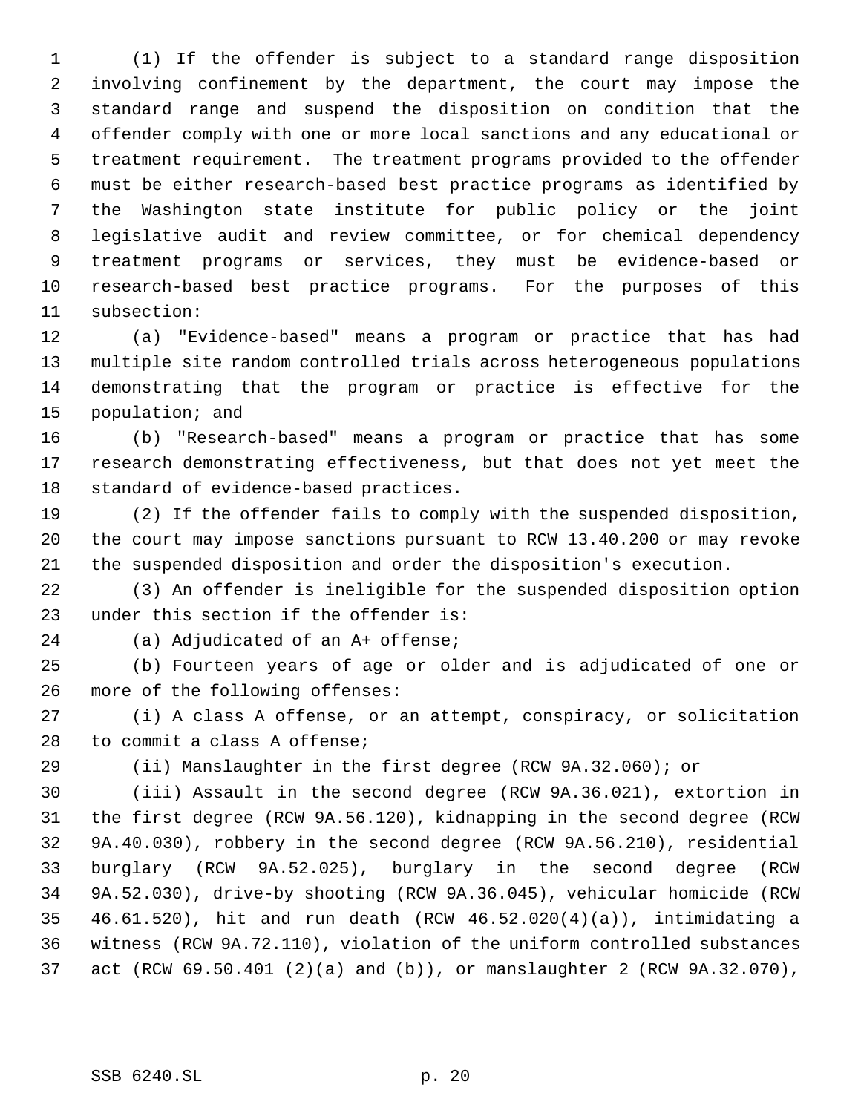(1) If the offender is subject to a standard range disposition involving confinement by the department, the court may impose the standard range and suspend the disposition on condition that the offender comply with one or more local sanctions and any educational or treatment requirement. The treatment programs provided to the offender must be either research-based best practice programs as identified by the Washington state institute for public policy or the joint legislative audit and review committee, or for chemical dependency treatment programs or services, they must be evidence-based or research-based best practice programs. For the purposes of this subsection:

 (a) "Evidence-based" means a program or practice that has had multiple site random controlled trials across heterogeneous populations demonstrating that the program or practice is effective for the population; and

 (b) "Research-based" means a program or practice that has some research demonstrating effectiveness, but that does not yet meet the standard of evidence-based practices.

 (2) If the offender fails to comply with the suspended disposition, the court may impose sanctions pursuant to RCW 13.40.200 or may revoke the suspended disposition and order the disposition's execution.

 (3) An offender is ineligible for the suspended disposition option under this section if the offender is:

(a) Adjudicated of an A+ offense;

 (b) Fourteen years of age or older and is adjudicated of one or more of the following offenses:

 (i) A class A offense, or an attempt, conspiracy, or solicitation to commit a class A offense;

(ii) Manslaughter in the first degree (RCW 9A.32.060); or

 (iii) Assault in the second degree (RCW 9A.36.021), extortion in the first degree (RCW 9A.56.120), kidnapping in the second degree (RCW 9A.40.030), robbery in the second degree (RCW 9A.56.210), residential burglary (RCW 9A.52.025), burglary in the second degree (RCW 9A.52.030), drive-by shooting (RCW 9A.36.045), vehicular homicide (RCW 46.61.520), hit and run death (RCW 46.52.020(4)(a)), intimidating a witness (RCW 9A.72.110), violation of the uniform controlled substances act (RCW 69.50.401 (2)(a) and (b)), or manslaughter 2 (RCW 9A.32.070),